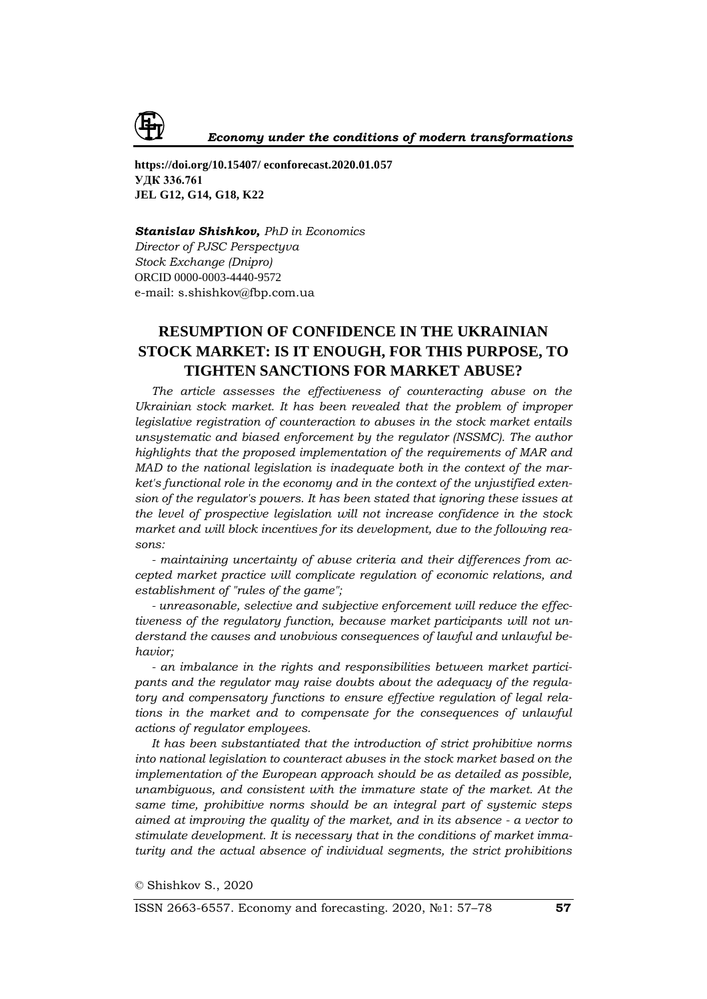

**https://doi.org/10.15407/ econforecast.2020.01.057 УДК 336.761 JEL G12, G14, G18, K22**

## *Stanislav Shishkov, PhD in Economics*

*Director of PJSC Perspectyva Stock Exchange (Dnipro)* ORCID 0000-0003-4440-9572 e-mail: s.shishkov@fbp.com.ua

# **RESUMPTION OF CONFIDENCE IN THE UKRAINIAN STOCK MARKET: IS IT ENOUGH, FOR THIS PURPOSE, TO TIGHTEN SANCTIONS FOR MARKET ABUSE?**

*The article assesses the effectiveness of counteracting abuse on the Ukrainian stock market. It has been revealed that the problem of improper legislative registration of counteraction to abuses in the stock market entails unsystematic and biased enforcement by the regulator (NSSMC). The author highlights that the proposed implementation of the requirements of MAR and MAD to the national legislation is inadequate both in the context of the market's functional role in the economy and in the context of the unjustified extension of the regulator's powers. It has been stated that ignoring these issues at the level of prospective legislation will not increase confidence in the stock market and will block incentives for its development, due to the following reasons:*

*- maintaining uncertainty of abuse criteria and their differences from accepted market practice will complicate regulation of economic relations, and establishment of "rules of the game";*

*- unreasonable, selective and subjective enforcement will reduce the effectiveness of the regulatory function, because market participants will not understand the causes and unobvious consequences of lawful and unlawful behavior;*

*- an imbalance in the rights and responsibilities between market participants and the regulator may raise doubts about the adequacy of the regulatory and compensatory functions to ensure effective regulation of legal relations in the market and to compensate for the consequences of unlawful actions of regulator employees.*

*It has been substantiated that the introduction of strict prohibitive norms into national legislation to counteract abuses in the stock market based on the implementation of the European approach should be as detailed as possible, unambiguous, and consistent with the immature state of the market. At the same time, prohibitive norms should be an integral part of systemic steps aimed at improving the quality of the market, and in its absence - a vector to stimulate development. It is necessary that in the conditions of market immaturity and the actual absence of individual segments, the strict prohibitions* 

© Shishkov S., 2020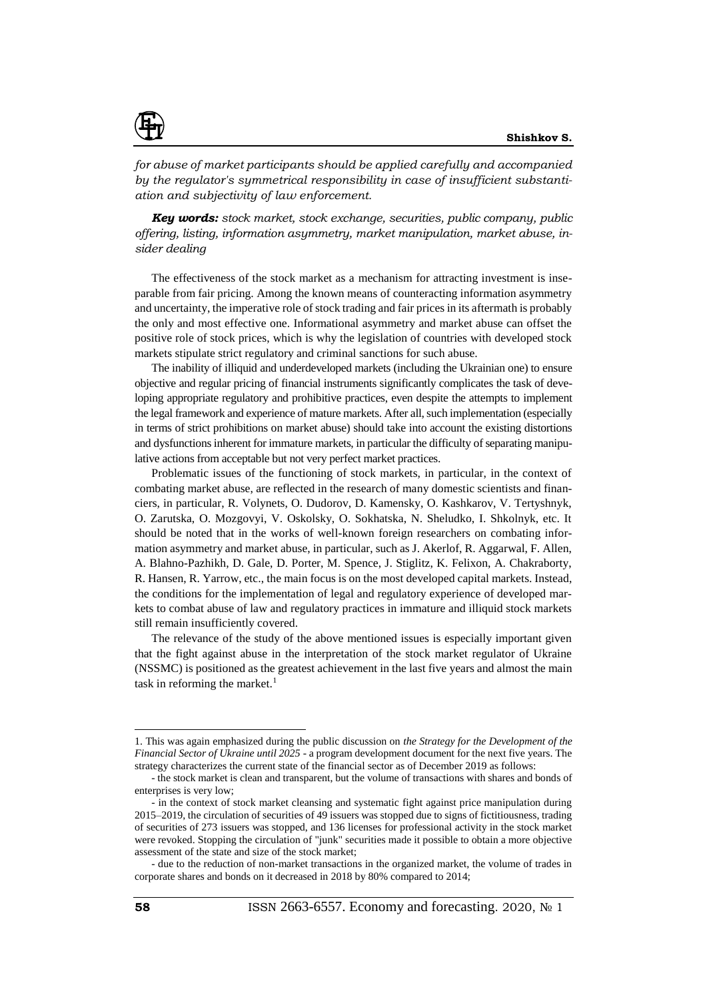

*for abuse of market participants should be applied carefully and accompanied by the regulator's symmetrical responsibility in case of insufficient substantiation and subjectivity of law enforcement.*

*Key words: stock market, stock exchange, securities, public company, public offering, listing, information asymmetry, market manipulation, market abuse, insider dealing*

The effectiveness of the stock market as a mechanism for attracting investment is inseparable from fair pricing. Among the known means of counteracting information asymmetry and uncertainty, the imperative role of stock trading and fair prices in its aftermath is probably the only and most effective one. Informational asymmetry and market abuse can offset the positive role of stock prices, which is why the legislation of countries with developed stock markets stipulate strict regulatory and criminal sanctions for such abuse.

The inability of illiquid and underdeveloped markets (including the Ukrainian one) to ensure objective and regular pricing of financial instruments significantly complicates the task of developing appropriate regulatory and prohibitive practices, even despite the attempts to implement the legal framework and experience of mature markets. After all, such implementation (especially in terms of strict prohibitions on market abuse) should take into account the existing distortions and dysfunctions inherent for immature markets, in particular the difficulty of separating manipulative actions from acceptable but not very perfect market practices.

Problematic issues of the functioning of stock markets, in particular, in the context of combating market abuse, are reflected in the research of many domestic scientists and financiers, in particular, R. Volynets, O. Dudorov, D. Kamensky, O. Kashkarov, V. Tertyshnyk, O. Zarutska, O. Mozgovyi, V. Oskolsky, O. Sokhatska, N. Sheludko, I. Shkolnyk, etc. It should be noted that in the works of well-known foreign researchers on combating information asymmetry and market abuse, in particular, such as J. Akerlof, R. Aggarwal, F. Allen, A. Blahno-Pazhikh, D. Gale, D. Porter, M. Spence, J. Stiglitz, K. Felixon, A. Chakraborty, R. Hansen, R. Yarrow, etc., the main focus is on the most developed capital markets. Instead, the conditions for the implementation of legal and regulatory experience of developed markets to combat abuse of law and regulatory practices in immature and illiquid stock markets still remain insufficiently covered.

The relevance of the study of the above mentioned issues is especially important given that the fight against abuse in the interpretation of the stock market regulator of Ukraine (NSSMC) is positioned as the greatest achievement in the last five years and almost the main task in reforming the market. $<sup>1</sup>$ </sup>

 $\overline{a}$ 

<sup>1.</sup> This was again emphasized during the public discussion on *the Strategy for the Development of the Financial Sector of Ukraine until 2025* - a program development document for the next five years. The strategy characterizes the current state of the financial sector as of December 2019 as follows:

<sup>-</sup> the stock market is clean and transparent, but the volume of transactions with shares and bonds of enterprises is very low;

<sup>-</sup> in the context of stock market cleansing and systematic fight against price manipulation during 2015–2019, the circulation of securities of 49 issuers was stopped due to signs of fictitiousness, trading of securities of 273 issuers was stopped, and 136 licenses for professional activity in the stock market were revoked. Stopping the circulation of "junk" securities made it possible to obtain a more objective assessment of the state and size of the stock market;

<sup>-</sup> due to the reduction of non-market transactions in the organized market, the volume of trades in corporate shares and bonds on it decreased in 2018 by 80% compared to 2014;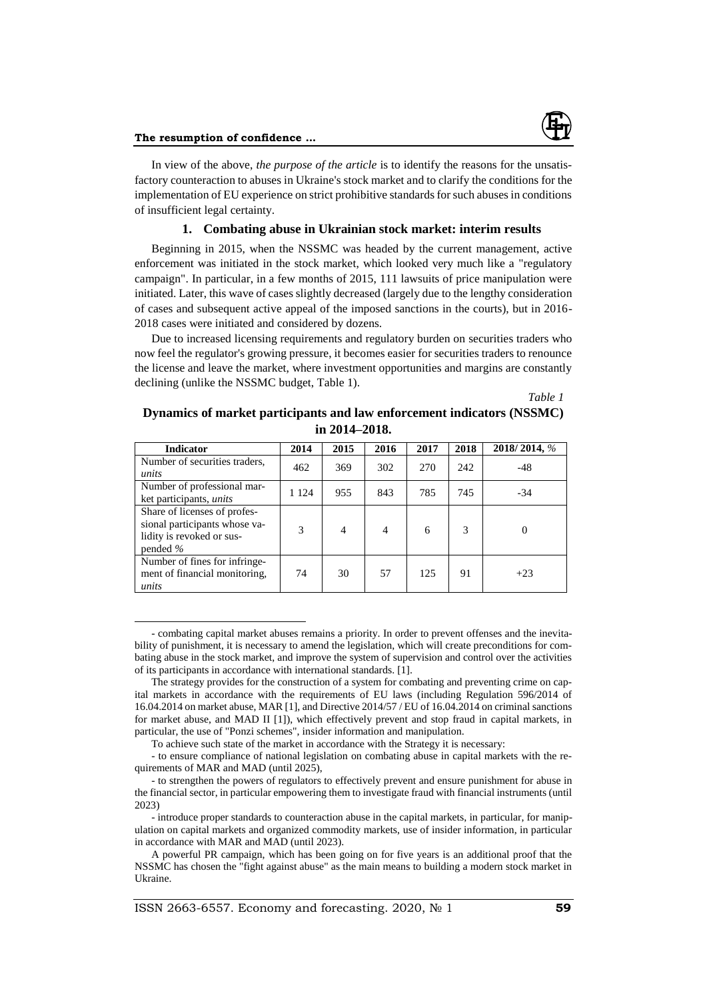$\overline{a}$ 

In view of the above, *the purpose of the article* is to identify the reasons for the unsatisfactory counteraction to abuses in Ukraine's stock market and to clarify the conditions for the implementation of EU experience on strict prohibitive standards for such abuses in conditions of insufficient legal certainty.

# **1. Combating abuse in Ukrainian stock market: interim results**

Beginning in 2015, when the NSSMC was headed by the current management, active enforcement was initiated in the stock market, which looked very much like a "regulatory campaign". In particular, in a few months of 2015, 111 lawsuits of price manipulation were initiated. Later, this wave of cases slightly decreased (largely due to the lengthy consideration of cases and subsequent active appeal of the imposed sanctions in the courts), but in 2016- 2018 cases were initiated and considered by dozens.

Due to increased licensing requirements and regulatory burden on securities traders who now feel the regulator's growing pressure, it becomes easier for securities traders to renounce the license and leave the market, where investment opportunities and margins are constantly declining (unlike the NSSMC budget, Table 1).

*Table 1*

| Dynamics of market participants and law enforcement indicators (NSSMC) |
|------------------------------------------------------------------------|
| in $2014 - 2018$ .                                                     |

| <b>Indicator</b>                                                                                         | 2014    | 2015           | 2016           | 2017 | 2018 | 2018/2014, % |
|----------------------------------------------------------------------------------------------------------|---------|----------------|----------------|------|------|--------------|
| Number of securities traders,<br>units                                                                   | 462     | 369            | 302            | 270  | 242  | $-48$        |
| Number of professional mar-<br>ket participants, <i>units</i>                                            | 1 1 2 4 | 955            | 843            | 785  | 745  | $-34$        |
| Share of licenses of profes-<br>sional participants whose va-<br>lidity is revoked or sus-<br>pended $%$ | 3       | $\overline{4}$ | $\overline{4}$ | 6    | 3    | $\Omega$     |
| Number of fines for infringe-<br>ment of financial monitoring.<br>units                                  | 74      | 30             | 57             | 125  | 91   | $+23$        |

<sup>-</sup> combating capital market abuses remains a priority. In order to prevent offenses and the inevitability of punishment, it is necessary to amend the legislation, which will create preconditions for combating abuse in the stock market, and improve the system of supervision and control over the activities of its participants in accordance with international standards. [1].

The strategy provides for the construction of a system for combating and preventing crime on capital markets in accordance with the requirements of EU laws (including Regulation 596/2014 of 16.04.2014 on market abuse, MAR [1], and Directive 2014/57 / EU of 16.04.2014 on criminal sanctions for market abuse, and MAD II [1]), which effectively prevent and stop fraud in capital markets, in particular, the use of "Ponzi schemes", insider information and manipulation.

To achieve such state of the market in accordance with the Strategy it is necessary:

<sup>-</sup> to ensure compliance of national legislation on combating abuse in capital markets with the requirements of MAR and MAD (until 2025),

<sup>-</sup> to strengthen the powers of regulators to effectively prevent and ensure punishment for abuse in the financial sector, in particular empowering them to investigate fraud with financial instruments (until 2023)

<sup>-</sup> introduce proper standards to counteraction abuse in the capital markets, in particular, for manipulation on capital markets and organized commodity markets, use of insider information, in particular in accordance with MAR and MAD (until 2023).

A powerful PR campaign, which has been going on for five years is an additional proof that the NSSMC has chosen the "fight against abuse" as the main means to building a modern stock market in Ukraine.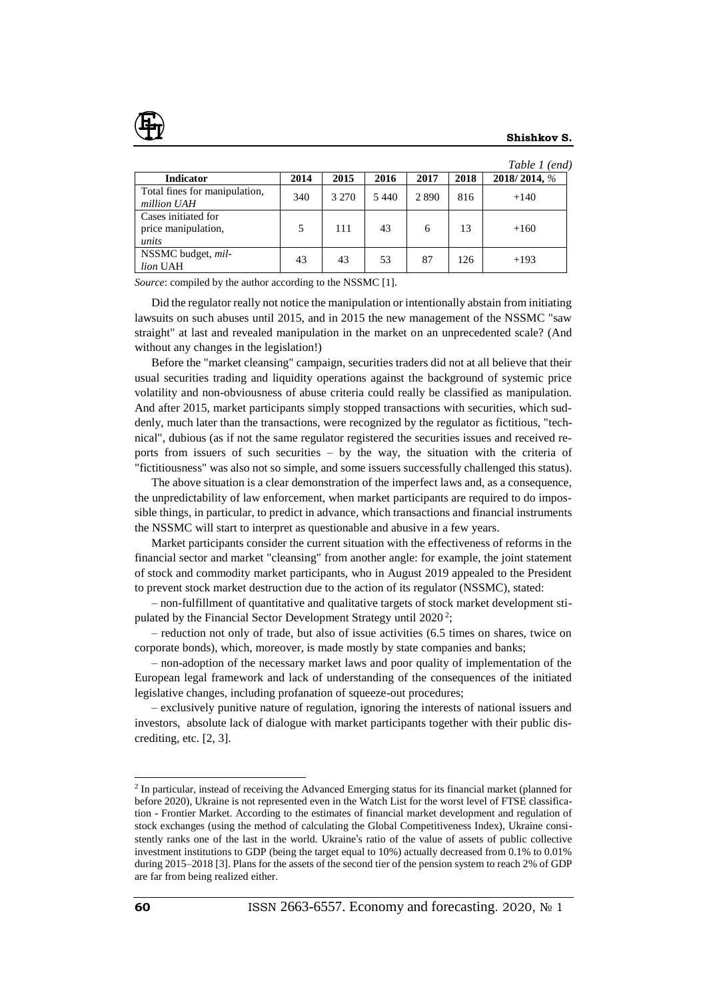|                                                     |      |         |      |         |      | Table 1 (end) |
|-----------------------------------------------------|------|---------|------|---------|------|---------------|
| <b>Indicator</b>                                    | 2014 | 2015    | 2016 | 2017    | 2018 | 2018/2014, %  |
| Total fines for manipulation,<br>million UAH        | 340  | 3 2 7 0 | 5440 | 2 8 9 0 | 816  | $+140$        |
| Cases initiated for<br>price manipulation,<br>units | 5    | 111     | 43   | 6       | 13   | $+160$        |
| NSSMC budget, mil-<br>lion UAH                      | 43   | 43      | 53   | 87      | 126  | $+193$        |

*Source*: compiled by the author according to the NSSMC [1].

Did the regulator really not notice the manipulation or intentionally abstain from initiating lawsuits on such abuses until 2015, and in 2015 the new management of the NSSMC "saw straight" at last and revealed manipulation in the market on an unprecedented scale? (And without any changes in the legislation!)

Before the "market cleansing" campaign, securities traders did not at all believe that their usual securities trading and liquidity operations against the background of systemic price volatility and non-obviousness of abuse criteria could really be classified as manipulation. And after 2015, market participants simply stopped transactions with securities, which suddenly, much later than the transactions, were recognized by the regulator as fictitious, "technical", dubious (as if not the same regulator registered the securities issues and received reports from issuers of such securities – by the way, the situation with the criteria of "fictitiousness" was also not so simple, and some issuers successfully challenged this status).

The above situation is a clear demonstration of the imperfect laws and, as a consequence, the unpredictability of law enforcement, when market participants are required to do impossible things, in particular, to predict in advance, which transactions and financial instruments the NSSMC will start to interpret as questionable and abusive in a few years.

Market participants consider the current situation with the effectiveness of reforms in the financial sector and market "cleansing" from another angle: for example, the joint statement of stock and commodity market participants, who in August 2019 appealed to the President to prevent stock market destruction due to the action of its regulator (NSSMC), stated:

– non-fulfillment of quantitative and qualitative targets of stock market development stipulated by the Financial Sector Development Strategy until  $2020^2$ ;

– reduction not only of trade, but also of issue activities (6.5 times on shares, twice on corporate bonds), which, moreover, is made mostly by state companies and banks;

– non-adoption of the necessary market laws and poor quality of implementation of the European legal framework and lack of understanding of the consequences of the initiated legislative changes, including profanation of squeeze-out procedures;

– exclusively punitive nature of regulation, ignoring the interests of national issuers and investors, absolute lack of dialogue with market participants together with their public discrediting, etc. [2, 3].

l

<sup>&</sup>lt;sup>2</sup> In particular, instead of receiving the Advanced Emerging status for its financial market (planned for before 2020), Ukraine is not represented even in the Watch List for the worst level of FTSE classification - Frontier Market. According to the estimates of financial market development and regulation of stock exchanges (using the method of calculating the Global Competitiveness Index), Ukraine consistently ranks one of the last in the world. Ukraine's ratio of the value of assets of public collective investment institutions to GDP (being the target equal to 10%) actually decreased from 0.1% to 0.01% during 2015–2018 [3]. Plans for the assets of the second tier of the pension system to reach 2% of GDP are far from being realized either.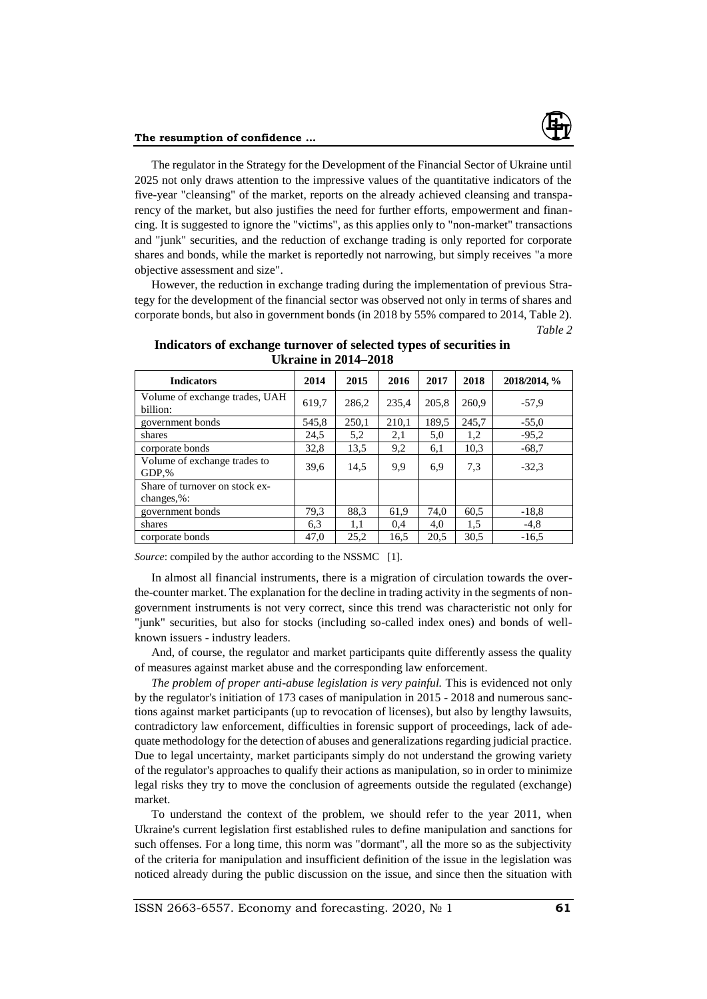

### **The resumption of confidence ...**

The regulator in the Strategy for the Development of the Financial Sector of Ukraine until 2025 not only draws attention to the impressive values of the quantitative indicators of the five-year "cleansing" of the market, reports on the already achieved cleansing and transparency of the market, but also justifies the need for further efforts, empowerment and financing. It is suggested to ignore the "victims", as this applies only to "non-market" transactions and "junk" securities, and the reduction of exchange trading is only reported for corporate shares and bonds, while the market is reportedly not narrowing, but simply receives "a more objective assessment and size".

However, the reduction in exchange trading during the implementation of previous Strategy for the development of the financial sector was observed not only in terms of shares and corporate bonds, but also in government bonds (in 2018 by 55% compared to 2014, Table 2). *Table 2*

| <b>Indicators</b>                                | 2014  | 2015  | 2016  | 2017  | 2018  | 2018/2014, % |
|--------------------------------------------------|-------|-------|-------|-------|-------|--------------|
| Volume of exchange trades, UAH<br>billion:       | 619,7 | 286,2 | 235,4 | 205.8 | 260,9 | $-57.9$      |
| government bonds                                 | 545,8 | 250,1 | 210,1 | 189,5 | 245,7 | $-55,0$      |
| shares                                           | 24,5  | 5,2   | 2,1   | 5,0   | 1,2   | $-95.2$      |
| corporate bonds                                  | 32,8  | 13,5  | 9,2   | 6,1   | 10.3  | $-68,7$      |
| Volume of exchange trades to<br>GDP.%            | 39,6  | 14,5  | 9,9   | 6,9   | 7.3   | $-32.3$      |
| Share of turnover on stock ex-<br>changes, $%$ : |       |       |       |       |       |              |
| government bonds                                 | 79,3  | 88.3  | 61,9  | 74,0  | 60.5  | $-18,8$      |
| shares                                           | 6,3   | 1,1   | 0.4   | 4,0   | 1,5   | $-4,8$       |
| corporate bonds                                  | 47,0  | 25,2  | 16,5  | 20,5  | 30.5  | $-16,5$      |

## **Indicators of exchange turnover of selected types of securities in Ukraine in 2014–2018**

*Source*: compiled by the author according to the NSSMC [1].

In almost all financial instruments, there is a migration of circulation towards the overthe-counter market. The explanation for the decline in trading activity in the segments of nongovernment instruments is not very correct, since this trend was characteristic not only for "junk" securities, but also for stocks (including so-called index ones) and bonds of wellknown issuers - industry leaders.

And, of course, the regulator and market participants quite differently assess the quality of measures against market abuse and the corresponding law enforcement.

*The problem of proper anti-abuse legislation is very painful.* This is evidenced not only by the regulator's initiation of 173 cases of manipulation in 2015 - 2018 and numerous sanctions against market participants (up to revocation of licenses), but also by lengthy lawsuits, contradictory law enforcement, difficulties in forensic support of proceedings, lack of adequate methodology for the detection of abuses and generalizations regarding judicial practice. Due to legal uncertainty, market participants simply do not understand the growing variety of the regulator's approaches to qualify their actions as manipulation, so in order to minimize legal risks they try to move the conclusion of agreements outside the regulated (exchange) market.

To understand the context of the problem, we should refer to the year 2011, when Ukraine's current legislation first established rules to define manipulation and sanctions for such offenses. For a long time, this norm was "dormant", all the more so as the subjectivity of the criteria for manipulation and insufficient definition of the issue in the legislation was noticed already during the public discussion on the issue, and since then the situation with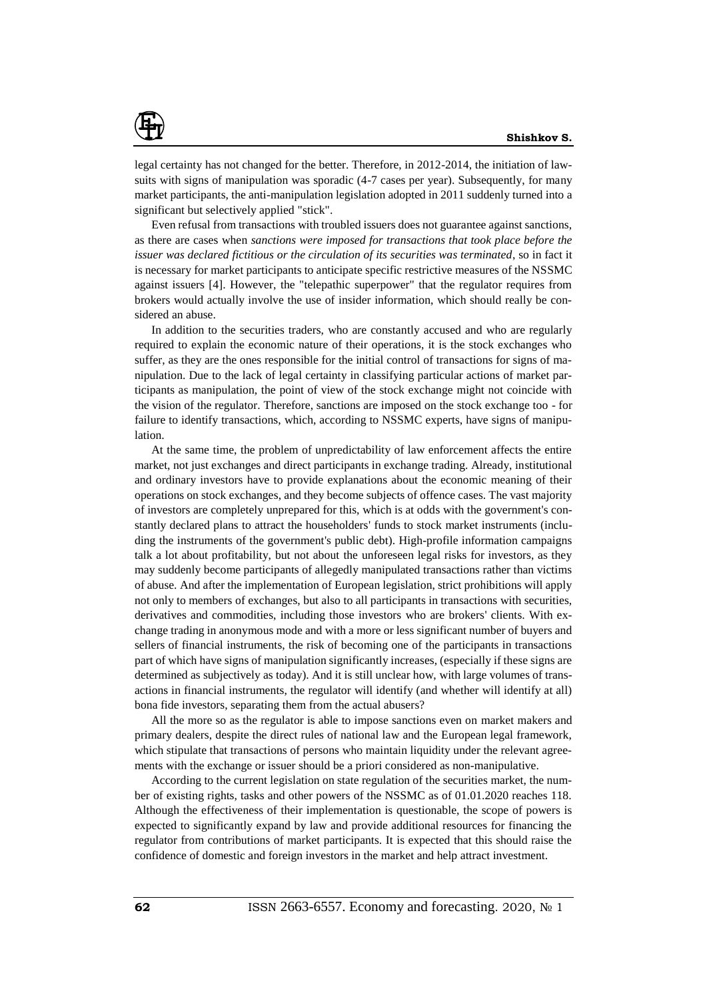

legal certainty has not changed for the better. Therefore, in 2012-2014, the initiation of lawsuits with signs of manipulation was sporadic (4-7 cases per year). Subsequently, for many market participants, the anti-manipulation legislation adopted in 2011 suddenly turned into a significant but selectively applied "stick".

Even refusal from transactions with troubled issuers does not guarantee against sanctions, as there are cases when *sanctions were imposed for transactions that took place before the issuer was declared fictitious or the circulation of its securities was terminated*, so in fact it is necessary for market participants to anticipate specific restrictive measures of the NSSMC against issuers [4]. However, the "telepathic superpower" that the regulator requires from brokers would actually involve the use of insider information, which should really be considered an abuse.

In addition to the securities traders, who are constantly accused and who are regularly required to explain the economic nature of their operations, it is the stock exchanges who suffer, as they are the ones responsible for the initial control of transactions for signs of manipulation. Due to the lack of legal certainty in classifying particular actions of market participants as manipulation, the point of view of the stock exchange might not coincide with the vision of the regulator. Therefore, sanctions are imposed on the stock exchange too - for failure to identify transactions, which, according to NSSMC experts, have signs of manipulation.

At the same time, the problem of unpredictability of law enforcement affects the entire market, not just exchanges and direct participants in exchange trading. Already, institutional and ordinary investors have to provide explanations about the economic meaning of their operations on stock exchanges, and they become subjects of offence cases. The vast majority of investors are completely unprepared for this, which is at odds with the government's constantly declared plans to attract the householders' funds to stock market instruments (including the instruments of the government's public debt). High-profile information campaigns talk a lot about profitability, but not about the unforeseen legal risks for investors, as they may suddenly become participants of allegedly manipulated transactions rather than victims of abuse. And after the implementation of European legislation, strict prohibitions will apply not only to members of exchanges, but also to all participants in transactions with securities, derivatives and commodities, including those investors who are brokers' clients. With exchange trading in anonymous mode and with a more or less significant number of buyers and sellers of financial instruments, the risk of becoming one of the participants in transactions part of which have signs of manipulation significantly increases, (especially if these signs are determined as subjectively as today). And it is still unclear how, with large volumes of transactions in financial instruments, the regulator will identify (and whether will identify at all) bona fide investors, separating them from the actual abusers?

All the more so as the regulator is able to impose sanctions even on market makers and primary dealers, despite the direct rules of national law and the European legal framework, which stipulate that transactions of persons who maintain liquidity under the relevant agreements with the exchange or issuer should be a priori considered as non-manipulative.

According to the current legislation on state regulation of the securities market, the number of existing rights, tasks and other powers of the NSSMC as of 01.01.2020 reaches 118. Although the effectiveness of their implementation is questionable, the scope of powers is expected to significantly expand by law and provide additional resources for financing the regulator from contributions of market participants. It is expected that this should raise the confidence of domestic and foreign investors in the market and help attract investment.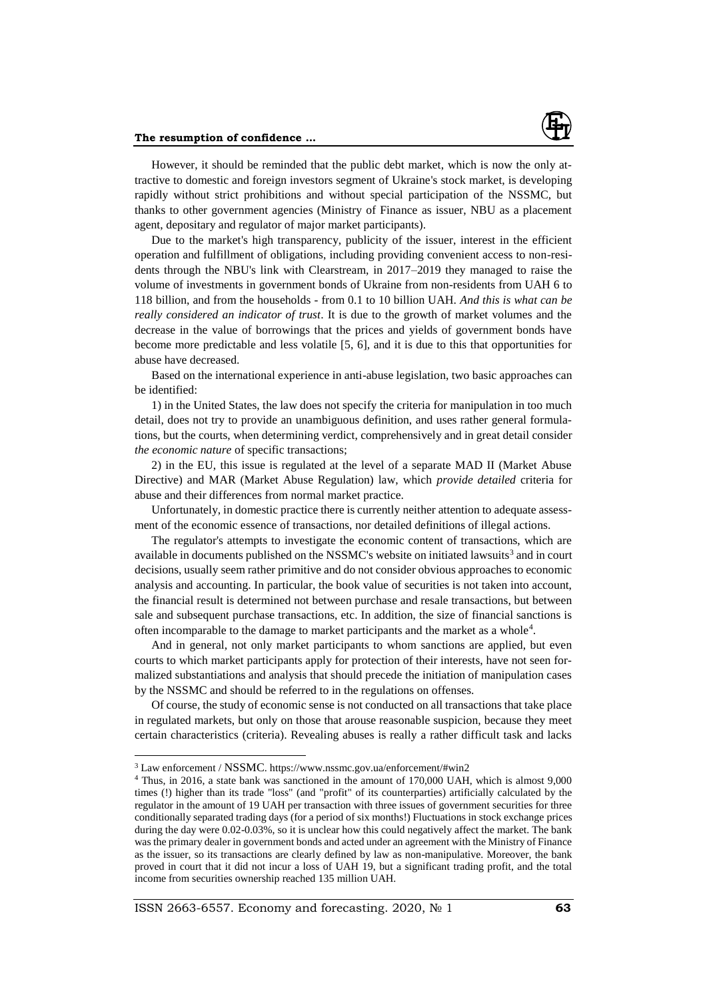

However, it should be reminded that the public debt market, which is now the only attractive to domestic and foreign investors segment of Ukraine's stock market, is developing rapidly without strict prohibitions and without special participation of the NSSMC, but thanks to other government agencies (Ministry of Finance as issuer, NBU as a placement agent, depositary and regulator of major market participants).

Due to the market's high transparency, publicity of the issuer, interest in the efficient operation and fulfillment of obligations, including providing convenient access to non-residents through the NBU's link with Clearstream, in 2017–2019 they managed to raise the volume of investments in government bonds of Ukraine from non-residents from UAH 6 to 118 billion, and from the households - from 0.1 to 10 billion UAH. *And this is what can be really considered an indicator of trust*. It is due to the growth of market volumes and the decrease in the value of borrowings that the prices and yields of government bonds have become more predictable and less volatile [5, 6], and it is due to this that opportunities for abuse have decreased.

Based on the international experience in anti-abuse legislation, two basic approaches can be identified:

1) in the United States, the law does not specify the criteria for manipulation in too much detail, does not try to provide an unambiguous definition, and uses rather general formulations, but the courts, when determining verdict, comprehensively and in great detail consider *the economic nature* of specific transactions;

2) in the EU, this issue is regulated at the level of a separate MAD II (Market Abuse Directive) and MAR (Market Abuse Regulation) law, which *provide detailed* criteria for abuse and their differences from normal market practice.

Unfortunately, in domestic practice there is currently neither attention to adequate assessment of the economic essence of transactions, nor detailed definitions of illegal actions.

The regulator's attempts to investigate the economic content of transactions, which are available in documents published on the NSSMC's website on initiated lawsuits<sup>3</sup> and in court decisions, usually seem rather primitive and do not consider obvious approaches to economic analysis and accounting. In particular, the book value of securities is not taken into account, the financial result is determined not between purchase and resale transactions, but between sale and subsequent purchase transactions, etc. In addition, the size of financial sanctions is often incomparable to the damage to market participants and the market as a whole<sup>4</sup>.

And in general, not only market participants to whom sanctions are applied, but even courts to which market participants apply for protection of their interests, have not seen formalized substantiations and analysis that should precede the initiation of manipulation cases by the NSSMC and should be referred to in the regulations on offenses.

Of course, the study of economic sense is not conducted on all transactions that take place in regulated markets, but only on those that arouse reasonable suspicion, because they meet certain characteristics (criteria). Revealing abuses is really a rather difficult task and lacks

 $\overline{a}$ 

<sup>3</sup> Law enforcement / NSSMC. https://www.nssmc.gov.ua/enforcement/#win2

<sup>4</sup> Thus, in 2016, a state bank was sanctioned in the amount of 170,000 UAH, which is almost 9,000 times (!) higher than its trade "loss" (and "profit" of its counterparties) artificially calculated by the regulator in the amount of 19 UAH per transaction with three issues of government securities for three conditionally separated trading days (for a period of six months!) Fluctuations in stock exchange prices during the day were 0.02-0.03%, so it is unclear how this could negatively affect the market. The bank was the primary dealer in government bonds and acted under an agreement with the Ministry of Finance as the issuer, so its transactions are clearly defined by law as non-manipulative. Moreover, the bank proved in court that it did not incur a loss of UAH 19, but a significant trading profit, and the total income from securities ownership reached 135 million UAH.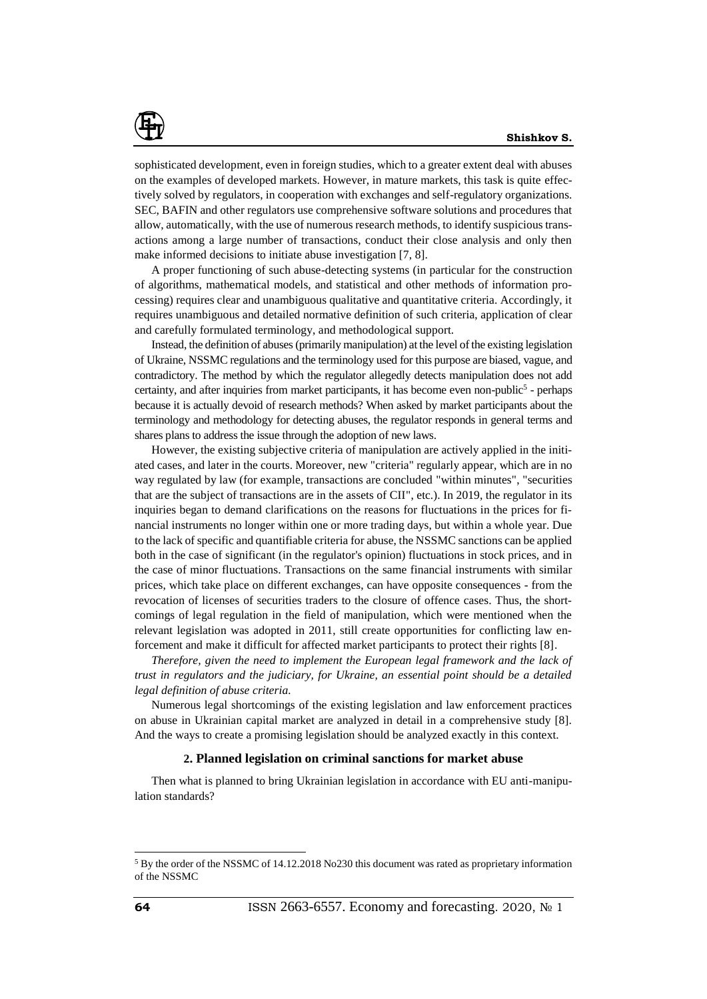

sophisticated development, even in foreign studies, which to a greater extent deal with abuses on the examples of developed markets. However, in mature markets, this task is quite effectively solved by regulators, in cooperation with exchanges and self-regulatory organizations. SEC, BAFIN and other regulators use comprehensive software solutions and procedures that allow, automatically, with the use of numerous research methods, to identify suspicious transactions among a large number of transactions, conduct their close analysis and only then make informed decisions to initiate abuse investigation [7, 8].

A proper functioning of such abuse-detecting systems (in particular for the construction of algorithms, mathematical models, and statistical and other methods of information processing) requires clear and unambiguous qualitative and quantitative criteria. Accordingly, it requires unambiguous and detailed normative definition of such criteria, application of clear and carefully formulated terminology, and methodological support.

Instead, the definition of abuses (primarily manipulation) at the level of the existing legislation of Ukraine, NSSMC regulations and the terminology used for this purpose are biased, vague, and contradictory. The method by which the regulator allegedly detects manipulation does not add certainty, and after inquiries from market participants, it has become even non-public<sup>5</sup> - perhaps because it is actually devoid of research methods? When asked by market participants about the terminology and methodology for detecting abuses, the regulator responds in general terms and shares plans to address the issue through the adoption of new laws.

However, the existing subjective criteria of manipulation are actively applied in the initiated cases, and later in the courts. Moreover, new "criteria" regularly appear, which are in no way regulated by law (for example, transactions are concluded "within minutes", "securities that are the subject of transactions are in the assets of CII", etc.). In 2019, the regulator in its inquiries began to demand clarifications on the reasons for fluctuations in the prices for financial instruments no longer within one or more trading days, but within a whole year. Due to the lack of specific and quantifiable criteria for abuse, the NSSMC sanctions can be applied both in the case of significant (in the regulator's opinion) fluctuations in stock prices, and in the case of minor fluctuations. Transactions on the same financial instruments with similar prices, which take place on different exchanges, can have opposite consequences - from the revocation of licenses of securities traders to the closure of offence cases. Thus, the shortcomings of legal regulation in the field of manipulation, which were mentioned when the relevant legislation was adopted in 2011, still create opportunities for conflicting law enforcement and make it difficult for affected market participants to protect their rights [8].

*Therefore, given the need to implement the European legal framework and the lack of trust in regulators and the judiciary, for Ukraine, an essential point should be a detailed legal definition of abuse criteria.*

Numerous legal shortcomings of the existing legislation and law enforcement practices on abuse in Ukrainian capital market are analyzed in detail in a comprehensive study [8]. And the ways to create a promising legislation should be analyzed exactly in this context.

### **2. Planned legislation on criminal sanctions for market abuse**

Then what is planned to bring Ukrainian legislation in accordance with EU anti-manipulation standards?

 $\overline{a}$ 

<sup>&</sup>lt;sup>5</sup> By the order of the NSSMC of 14.12.2018 No230 this document was rated as proprietary information of the NSSMC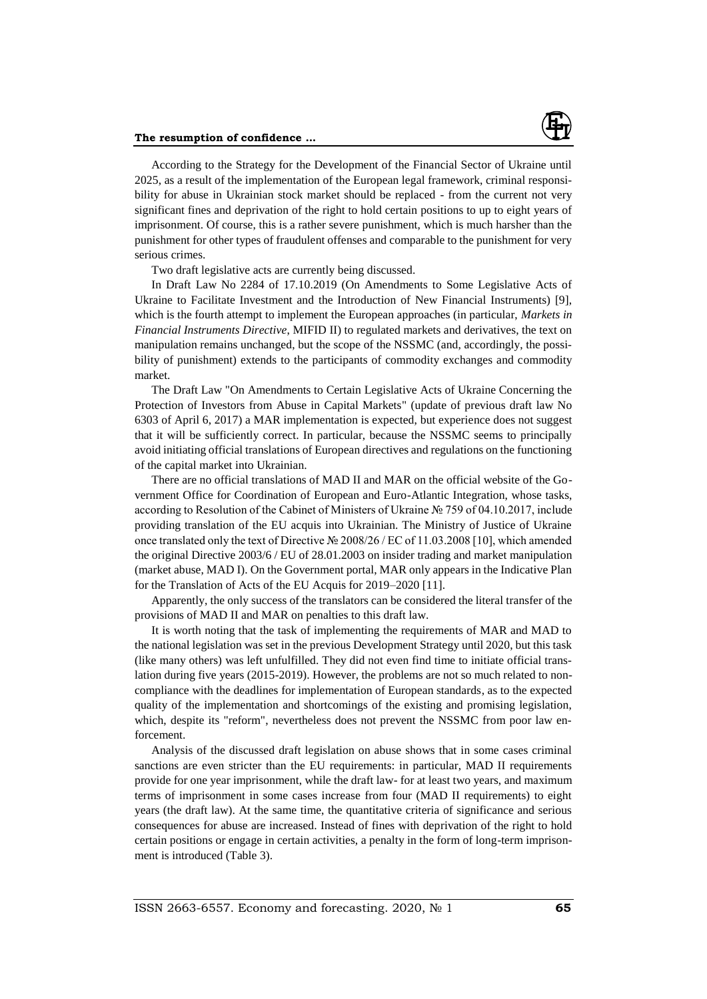### **The resumption of confidence ...**



According to the Strategy for the Development of the Financial Sector of Ukraine until 2025, as a result of the implementation of the European legal framework, criminal responsibility for abuse in Ukrainian stock market should be replaced - from the current not very significant fines and deprivation of the right to hold certain positions to up to eight years of imprisonment. Of course, this is a rather severe punishment, which is much harsher than the punishment for other types of fraudulent offenses and comparable to the punishment for very serious crimes.

Two draft legislative acts are currently being discussed.

In Draft Law No 2284 of 17.10.2019 (On Amendments to Some Legislative Acts of Ukraine to Facilitate Investment and the Introduction of New Financial Instruments) [9], which is the fourth attempt to implement the European approaches (in particular, *Markets in Financial Instruments Directive*, MIFID II) to regulated markets and derivatives, the text on manipulation remains unchanged, but the scope of the NSSMC (and, accordingly, the possibility of punishment) extends to the participants of commodity exchanges and commodity market.

The Draft Law "On Amendments to Certain Legislative Acts of Ukraine Concerning the Protection of Investors from Abuse in Capital Markets" (update of previous draft law No 6303 of April 6, 2017) a MAR implementation is expected, but experience does not suggest that it will be sufficiently correct. In particular, because the NSSMC seems to principally avoid initiating official translations of European directives and regulations on the functioning of the capital market into Ukrainian.

There are no official translations of MAD II and MAR on the official website of the Government Office for Coordination of European and Euro-Atlantic Integration, whose tasks, according to Resolution of the Cabinet of Ministers of Ukraine № 759 of 04.10.2017, include providing translation of the EU acquis into Ukrainian. The Ministry of Justice of Ukraine once translated only the text of Directive № 2008/26 / EC of 11.03.2008 [10], which amended the original Directive 2003/6 / EU of 28.01.2003 on insider trading and market manipulation (market abuse, MAD I). On the Government portal, MAR only appears in the Indicative Plan for the Translation of Acts of the EU Acquis for 2019–2020 [11].

Apparently, the only success of the translators can be considered the literal transfer of the provisions of MAD II and MAR on penalties to this draft law.

It is worth noting that the task of implementing the requirements of MAR and MAD to the national legislation was set in the previous Development Strategy until 2020, but this task (like many others) was left unfulfilled. They did not even find time to initiate official translation during five years (2015-2019). However, the problems are not so much related to noncompliance with the deadlines for implementation of European standards, as to the expected quality of the implementation and shortcomings of the existing and promising legislation, which, despite its "reform", nevertheless does not prevent the NSSMC from poor law enforcement.

Analysis of the discussed draft legislation on abuse shows that in some cases criminal sanctions are even stricter than the EU requirements: in particular, MAD II requirements provide for one year imprisonment, while the draft law- for at least two years, and maximum terms of imprisonment in some cases increase from four (MAD II requirements) to eight years (the draft law). At the same time, the quantitative criteria of significance and serious consequences for abuse are increased. Instead of fines with deprivation of the right to hold certain positions or engage in certain activities, a penalty in the form of long-term imprisonment is introduced (Table 3).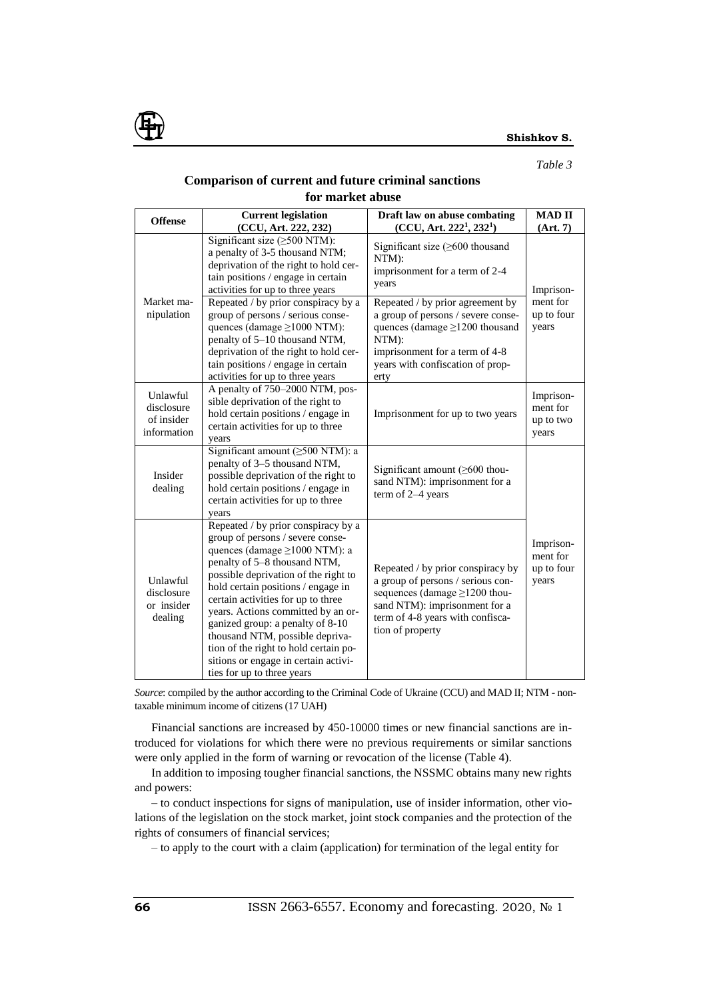

### *Table 3*

## **Comparison of current and future criminal sanctions**

#### **for market abuse Offense Current legislation (CCU, Art. 222, 232) Draft law on abuse combating (CCU, Art. 222<sup>1</sup> , 232<sup>1</sup> ) MAD II (Art. 7)** Market manipulation Significant size (≥500 NTM): a penalty of 3-5 thousand NTM; deprivation of the right to hold certain positions / engage in certain activities for up to three years Significant size (≥600 thousand NTM): imprisonment for a term of 2-4 years Imprisonment for up to four years Repeated / by prior conspiracy by a group of persons / serious consequences (damage ≥1000 NTM): penalty of 5–10 thousand NTM, deprivation of the right to hold certain positions / engage in certain activities for up to three years Repeated / by prior agreement by a group of persons / severe consequences (damage ≥1200 thousand NTM): imprisonment for a term of 4-8 years with confiscation of property Unlawful disclosure of insider information A penalty of 750–2000 NTM, possible deprivation of the right to hold certain positions / engage in certain activities for up to three years Imprisonment for up to two years Imprisonment for up to two years Insider dealing Significant amount (≥500 NTM): a penalty of 3–5 thousand NTM, possible deprivation of the right to hold certain positions / engage in certain activities for up to three years Significant amount (≥600 thousand NTM): imprisonment for a term of 2–4 years Imprisonment for up to four Unlawful  $\left[\begin{array}{c} \text{b} \\ \text{b} \end{array}\right]$  a group of persons / serious condisclosure or insider dealing Repeated / by prior conspiracy by a group of persons / severe consequences (damage ≥1000 NTM): a penalty of 5–8 thousand NTM, possible deprivation of the right to hold certain positions / engage in certain activities for up to three years. Actions committed by an organized group: a penalty of 8-10 thousand NTM, possible deprivation of the right to hold certain positions or engage in certain activities for up to three years Repeated / by prior conspiracy by sequences (damage ≥1200 thousand NTM): imprisonment for a term of 4-8 years with confiscation of property

*Source*: compiled by the author according to the Criminal Code of Ukraine (CCU) and MAD II; NTM - nontaxable minimum income of citizens (17 UAH)

Financial sanctions are increased by 450-10000 times or new financial sanctions are introduced for violations for which there were no previous requirements or similar sanctions were only applied in the form of warning or revocation of the license (Table 4).

In addition to imposing tougher financial sanctions, the NSSMC obtains many new rights and powers:

– to conduct inspections for signs of manipulation, use of insider information, other violations of the legislation on the stock market, joint stock companies and the protection of the rights of consumers of financial services;

– to apply to the court with a claim (application) for termination of the legal entity for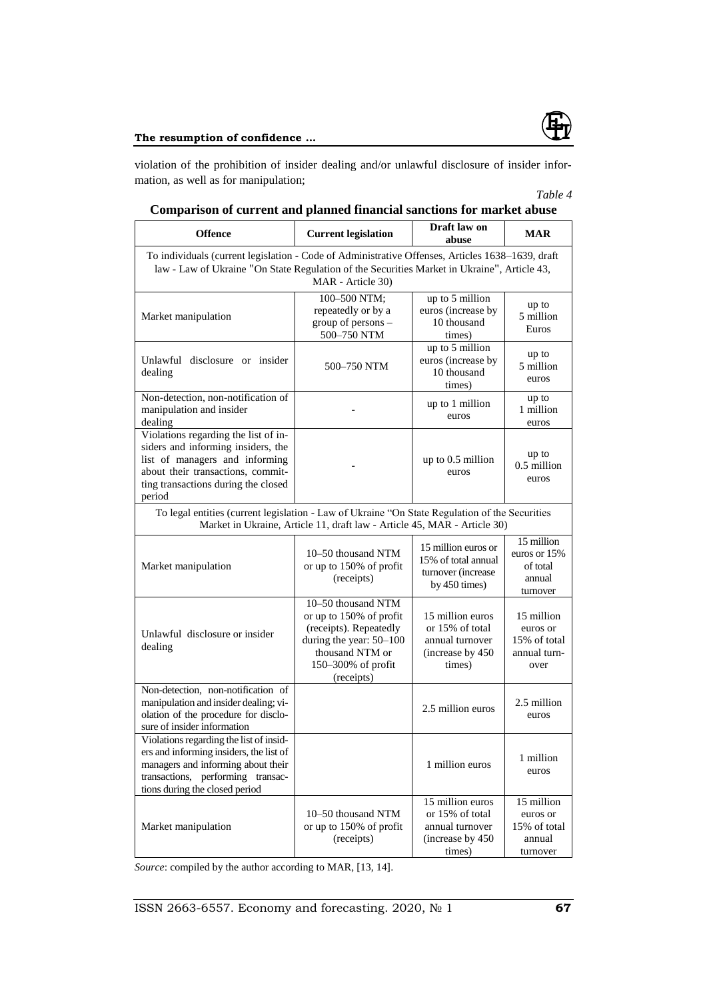

## **The resumption of confidence ...**

violation of the prohibition of insider dealing and/or unlawful disclosure of insider information, as well as for manipulation;

# *Table 4*

| <b>Offence</b>                                                                                                                                                                                                       | <b>Current legislation</b>                                                                                                                                | Draft law on<br>abuse                                                                 | <b>MAR</b>                                                     |  |  |  |  |  |
|----------------------------------------------------------------------------------------------------------------------------------------------------------------------------------------------------------------------|-----------------------------------------------------------------------------------------------------------------------------------------------------------|---------------------------------------------------------------------------------------|----------------------------------------------------------------|--|--|--|--|--|
| To individuals (current legislation - Code of Administrative Offenses, Articles 1638-1639, draft<br>law - Law of Ukraine "On State Regulation of the Securities Market in Ukraine", Article 43,<br>MAR - Article 30) |                                                                                                                                                           |                                                                                       |                                                                |  |  |  |  |  |
| Market manipulation                                                                                                                                                                                                  | 100-500 NTM;<br>repeatedly or by a<br>group of persons -<br>500-750 NTM                                                                                   | up to 5 million<br>euros (increase by<br>10 thousand<br>times)                        | up to<br>5 million<br>Euros                                    |  |  |  |  |  |
| Unlawful disclosure or insider<br>dealing                                                                                                                                                                            | 500-750 NTM                                                                                                                                               | up to 5 million<br>euros (increase by<br>10 thousand<br>times)                        | up to<br>5 million<br>euros                                    |  |  |  |  |  |
| Non-detection, non-notification of<br>manipulation and insider<br>dealing                                                                                                                                            |                                                                                                                                                           | up to 1 million<br>euros                                                              | up to<br>1 million<br>euros                                    |  |  |  |  |  |
| Violations regarding the list of in-<br>siders and informing insiders, the<br>list of managers and informing<br>about their transactions, commit-<br>ting transactions during the closed<br>period                   |                                                                                                                                                           | up to 0.5 million<br>euros                                                            | up to<br>0.5 million<br>euros                                  |  |  |  |  |  |
| To legal entities (current legislation - Law of Ukraine "On State Regulation of the Securities<br>Market in Ukraine, Article 11, draft law - Article 45, MAR - Article 30)                                           |                                                                                                                                                           |                                                                                       |                                                                |  |  |  |  |  |
| Market manipulation                                                                                                                                                                                                  | 10–50 thousand NTM<br>or up to 150% of profit<br>(receipts)                                                                                               | 15 million euros or<br>15% of total annual<br>turnover (increase<br>by $450$ times)   | 15 million<br>euros or 15%<br>of total<br>annual<br>turnover   |  |  |  |  |  |
| Unlawful disclosure or insider<br>dealing                                                                                                                                                                            | 10-50 thousand NTM<br>or up to 150% of profit<br>(receipts). Repeatedly<br>during the year: 50-100<br>thousand NTM or<br>150-300% of profit<br>(receipts) | 15 million euros<br>or 15% of total<br>annual turnover<br>(increase by 450)<br>times) | 15 million<br>euros or<br>15% of total<br>annual turn-<br>over |  |  |  |  |  |
| Non-detection, non-notification of<br>manipulation and insider dealing; vi-<br>olation of the procedure for disclo-<br>sure of insider information                                                                   |                                                                                                                                                           | 2.5 million euros                                                                     | 2.5 million<br>euros                                           |  |  |  |  |  |
| Violations regarding the list of insid-<br>ers and informing insiders, the list of<br>managers and informing about their<br>transactions, performing transac-<br>tions during the closed period                      |                                                                                                                                                           | 1 million euros                                                                       | 1 million<br>euros                                             |  |  |  |  |  |
| Market manipulation                                                                                                                                                                                                  | 10-50 thousand NTM<br>or up to 150% of profit<br>(receipts)                                                                                               | 15 million euros<br>or 15% of total<br>annual turnover<br>(increase by 450<br>times)  | 15 million<br>euros or<br>15% of total<br>annual<br>turnover   |  |  |  |  |  |

*Source*: compiled by the author according to MAR, [13, 14].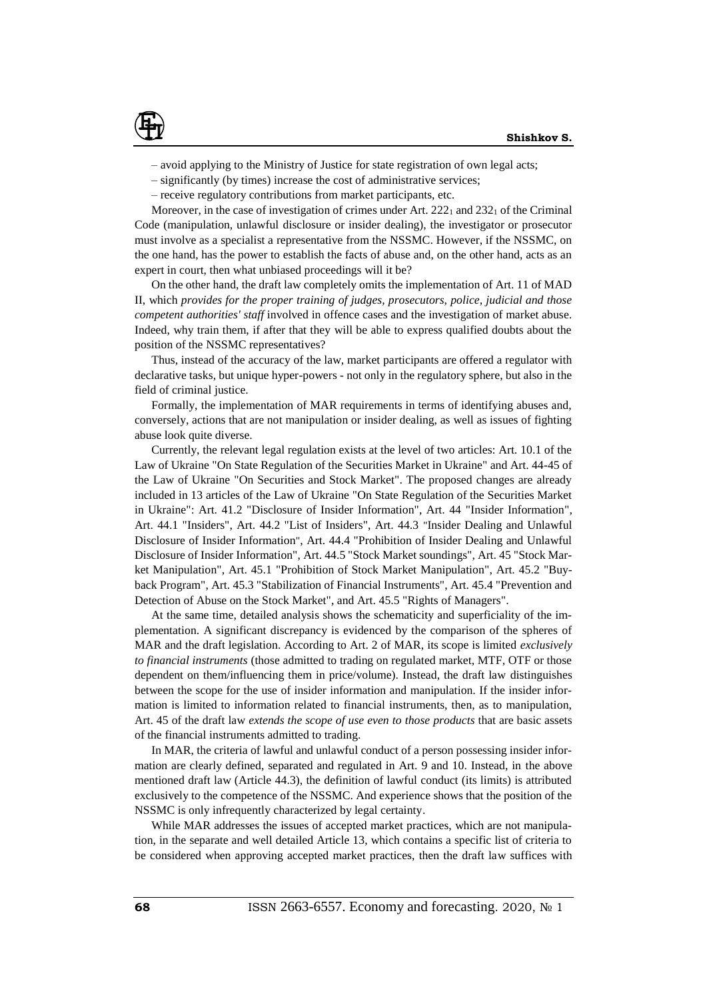

- avoid applying to the Ministry of Justice for state registration of own legal acts;
- significantly (by times) increase the cost of administrative services;
- receive regulatory contributions from market participants, etc.

Moreover, in the case of investigation of crimes under Art.  $222<sub>1</sub>$  and  $232<sub>1</sub>$  of the Criminal Code (manipulation, unlawful disclosure or insider dealing), the investigator or prosecutor must involve as a specialist a representative from the NSSMC. However, if the NSSMC, on the one hand, has the power to establish the facts of abuse and, on the other hand, acts as an expert in court, then what unbiased proceedings will it be?

On the other hand, the draft law completely omits the implementation of Art. 11 of MAD II, which *provides for the proper training of judges, prosecutors, police, judicial and those competent authorities' staff* involved in offence cases and the investigation of market abuse. Indeed, why train them, if after that they will be able to express qualified doubts about the position of the NSSMC representatives?

Thus, instead of the accuracy of the law, market participants are offered a regulator with declarative tasks, but unique hyper-powers - not only in the regulatory sphere, but also in the field of criminal justice.

Formally, the implementation of MAR requirements in terms of identifying abuses and, conversely, actions that are not manipulation or insider dealing, as well as issues of fighting abuse look quite diverse.

Currently, the relevant legal regulation exists at the level of two articles: Art. 10.1 of the Law of Ukraine "On State Regulation of the Securities Market in Ukraine" and Art. 44-45 of the Law of Ukraine "On Securities and Stock Market". The proposed changes are already included in 13 articles of the Law of Ukraine "On State Regulation of the Securities Market in Ukraine": Art. 41.2 "Disclosure of Insider Information", Art. 44 "Insider Information", Art. 44.1 "Insiders", Art. 44.2 "List of Insiders", Art. 44.3 "Insider Dealing and Unlawful Disclosure of Insider Information", Art. 44.4 "Prohibition of Insider Dealing and Unlawful Disclosure of Insider Information", Art. 44.5 "Stock Market soundings", Art. 45 "Stock Market Manipulation", Art. 45.1 "Prohibition of Stock Market Manipulation", Art. 45.2 "Buyback Program", Art. 45.3 "Stabilization of Financial Instruments", Art. 45.4 "Prevention and Detection of Abuse on the Stock Market", and Art. 45.5 "Rights of Managers".

At the same time, detailed analysis shows the schematicity and superficiality of the implementation. A significant discrepancy is evidenced by the comparison of the spheres of MAR and the draft legislation. According to Art. 2 of MAR, its scope is limited *exclusively to financial instruments* (those admitted to trading on regulated market, MTF, OTF or those dependent on them/influencing them in price/volume). Instead, the draft law distinguishes between the scope for the use of insider information and manipulation. If the insider information is limited to information related to financial instruments, then, as to manipulation, Art. 45 of the draft law *extends the scope of use even to those products* that are basic assets of the financial instruments admitted to trading.

In MAR, the criteria of lawful and unlawful conduct of a person possessing insider information are clearly defined, separated and regulated in Art. 9 and 10. Instead, in the above mentioned draft law (Article 44.3), the definition of lawful conduct (its limits) is attributed exclusively to the competence of the NSSMC. And experience shows that the position of the NSSMC is only infrequently characterized by legal certainty.

While MAR addresses the issues of accepted market practices, which are not manipulation, in the separate and well detailed Article 13, which contains a specific list of criteria to be considered when approving accepted market practices, then the draft law suffices with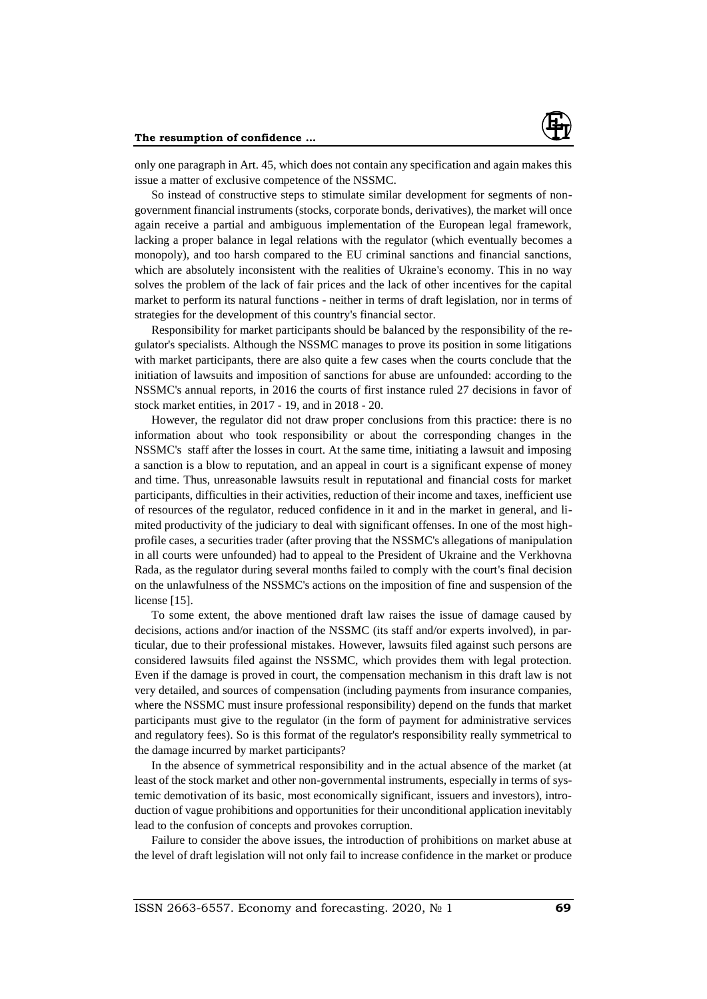only one paragraph in Art. 45, which does not contain any specification and again makes this issue a matter of exclusive competence of the NSSMC.

So instead of constructive steps to stimulate similar development for segments of nongovernment financial instruments (stocks, corporate bonds, derivatives), the market will once again receive a partial and ambiguous implementation of the European legal framework, lacking a proper balance in legal relations with the regulator (which eventually becomes a monopoly), and too harsh compared to the EU criminal sanctions and financial sanctions, which are absolutely inconsistent with the realities of Ukraine's economy. This in no way solves the problem of the lack of fair prices and the lack of other incentives for the capital market to perform its natural functions - neither in terms of draft legislation, nor in terms of strategies for the development of this country's financial sector.

Responsibility for market participants should be balanced by the responsibility of the regulator's specialists. Although the NSSMC manages to prove its position in some litigations with market participants, there are also quite a few cases when the courts conclude that the initiation of lawsuits and imposition of sanctions for abuse are unfounded: according to the NSSMC's annual reports, in 2016 the courts of first instance ruled 27 decisions in favor of stock market entities, in 2017 - 19, and in 2018 - 20.

However, the regulator did not draw proper conclusions from this practice: there is no information about who took responsibility or about the corresponding changes in the NSSMC's staff after the losses in court. At the same time, initiating a lawsuit and imposing a sanction is a blow to reputation, and an appeal in court is a significant expense of money and time. Thus, unreasonable lawsuits result in reputational and financial costs for market participants, difficulties in their activities, reduction of their income and taxes, inefficient use of resources of the regulator, reduced confidence in it and in the market in general, and limited productivity of the judiciary to deal with significant offenses. In one of the most highprofile cases, a securities trader (after proving that the NSSMC's allegations of manipulation in all courts were unfounded) had to appeal to the President of Ukraine and the Verkhovna Rada, as the regulator during several months failed to comply with the court's final decision on the unlawfulness of the NSSMC's actions on the imposition of fine and suspension of the license [15].

To some extent, the above mentioned draft law raises the issue of damage caused by decisions, actions and/or inaction of the NSSMC (its staff and/or experts involved), in particular, due to their professional mistakes. However, lawsuits filed against such persons are considered lawsuits filed against the NSSMC, which provides them with legal protection. Even if the damage is proved in court, the compensation mechanism in this draft law is not very detailed, and sources of compensation (including payments from insurance companies, where the NSSMC must insure professional responsibility) depend on the funds that market participants must give to the regulator (in the form of payment for administrative services and regulatory fees). So is this format of the regulator's responsibility really symmetrical to the damage incurred by market participants?

In the absence of symmetrical responsibility and in the actual absence of the market (at least of the stock market and other non-governmental instruments, especially in terms of systemic demotivation of its basic, most economically significant, issuers and investors), introduction of vague prohibitions and opportunities for their unconditional application inevitably lead to the confusion of concepts and provokes corruption.

Failure to consider the above issues, the introduction of prohibitions on market abuse at the level of draft legislation will not only fail to increase confidence in the market or produce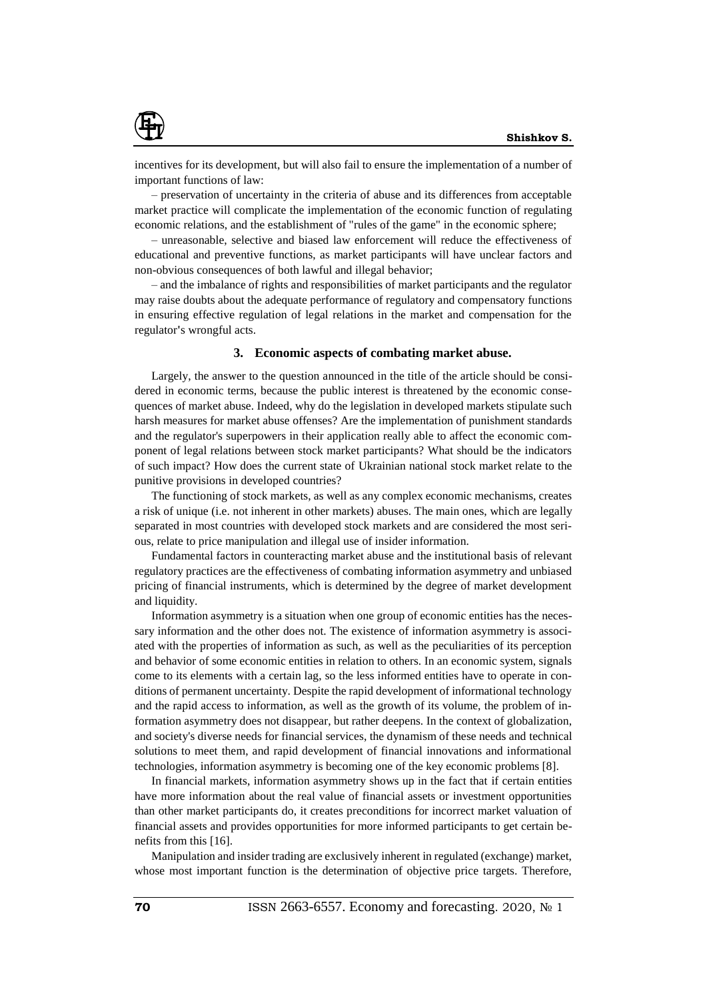

incentives for its development, but will also fail to ensure the implementation of a number of important functions of law:

– preservation of uncertainty in the criteria of abuse and its differences from acceptable market practice will complicate the implementation of the economic function of regulating economic relations, and the establishment of "rules of the game" in the economic sphere;

– unreasonable, selective and biased law enforcement will reduce the effectiveness of educational and preventive functions, as market participants will have unclear factors and non-obvious consequences of both lawful and illegal behavior;

– and the imbalance of rights and responsibilities of market participants and the regulator may raise doubts about the adequate performance of regulatory and compensatory functions in ensuring effective regulation of legal relations in the market and compensation for the regulator**'**s wrongful acts.

### **3. Economic aspects of combating market abuse.**

Largely, the answer to the question announced in the title of the article should be considered in economic terms, because the public interest is threatened by the economic consequences of market abuse. Indeed, why do the legislation in developed markets stipulate such harsh measures for market abuse offenses? Are the implementation of punishment standards and the regulator's superpowers in their application really able to affect the economic component of legal relations between stock market participants? What should be the indicators of such impact? How does the current state of Ukrainian national stock market relate to the punitive provisions in developed countries?

The functioning of stock markets, as well as any complex economic mechanisms, creates a risk of unique (i.e. not inherent in other markets) abuses. The main ones, which are legally separated in most countries with developed stock markets and are considered the most serious, relate to price manipulation and illegal use of insider information.

Fundamental factors in counteracting market abuse and the institutional basis of relevant regulatory practices are the effectiveness of combating information asymmetry and unbiased pricing of financial instruments, which is determined by the degree of market development and liquidity.

Information asymmetry is a situation when one group of economic entities has the necessary information and the other does not. The existence of information asymmetry is associated with the properties of information as such, as well as the peculiarities of its perception and behavior of some economic entities in relation to others. In an economic system, signals come to its elements with a certain lag, so the less informed entities have to operate in conditions of permanent uncertainty. Despite the rapid development of informational technology and the rapid access to information, as well as the growth of its volume, the problem of information asymmetry does not disappear, but rather deepens. In the context of globalization, and society's diverse needs for financial services, the dynamism of these needs and technical solutions to meet them, and rapid development of financial innovations and informational technologies, information asymmetry is becoming one of the key economic problems [8].

In financial markets, information asymmetry shows up in the fact that if certain entities have more information about the real value of financial assets or investment opportunities than other market participants do, it creates preconditions for incorrect market valuation of financial assets and provides opportunities for more informed participants to get certain benefits from this [16].

Manipulation and insider trading are exclusively inherent in regulated (exchange) market, whose most important function is the determination of objective price targets. Therefore,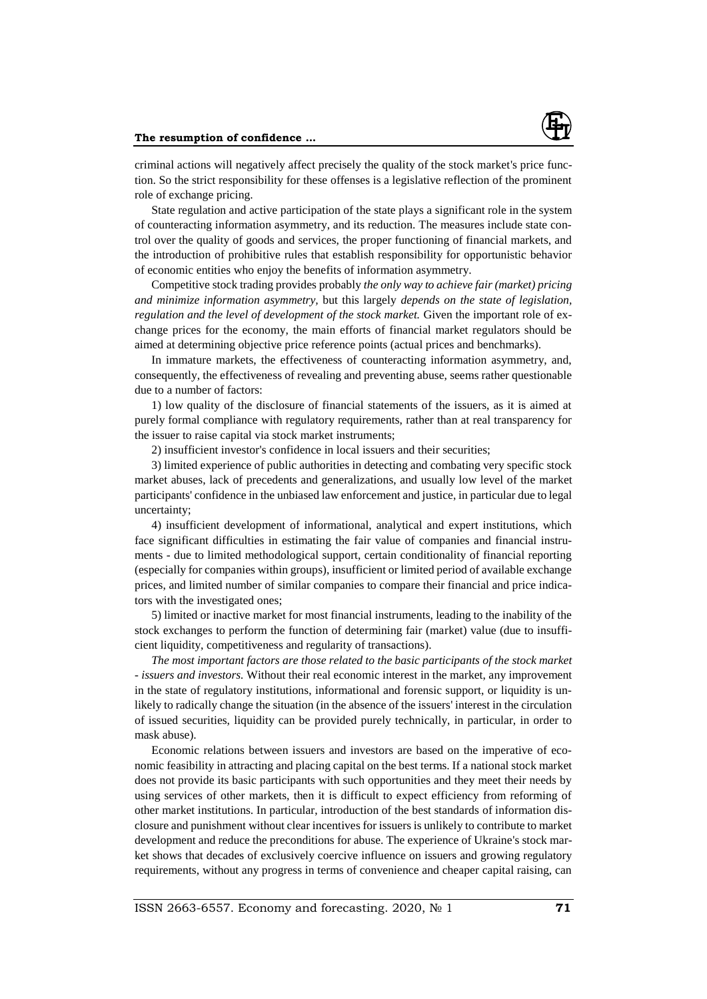

criminal actions will negatively affect precisely the quality of the stock market's price function. So the strict responsibility for these offenses is a legislative reflection of the prominent role of exchange pricing.

State regulation and active participation of the state plays a significant role in the system of counteracting information asymmetry, and its reduction. The measures include state control over the quality of goods and services, the proper functioning of financial markets, and the introduction of prohibitive rules that establish responsibility for opportunistic behavior of economic entities who enjoy the benefits of information asymmetry.

Competitive stock trading provides probably *the only way to achieve fair (market) pricing and minimize information asymmetry,* but this largely *depends on the state of legislation, regulation and the level of development of the stock market.* Given the important role of exchange prices for the economy, the main efforts of financial market regulators should be aimed at determining objective price reference points (actual prices and benchmarks).

In immature markets, the effectiveness of counteracting information asymmetry, and, consequently, the effectiveness of revealing and preventing abuse, seems rather questionable due to a number of factors:

1) low quality of the disclosure of financial statements of the issuers, as it is aimed at purely formal compliance with regulatory requirements, rather than at real transparency for the issuer to raise capital via stock market instruments;

2) insufficient investor's confidence in local issuers and their securities;

3) limited experience of public authorities in detecting and combating very specific stock market abuses, lack of precedents and generalizations, and usually low level of the market participants' confidence in the unbiased law enforcement and justice, in particular due to legal uncertainty;

4) insufficient development of informational, analytical and expert institutions, which face significant difficulties in estimating the fair value of companies and financial instruments - due to limited methodological support, certain conditionality of financial reporting (especially for companies within groups), insufficient or limited period of available exchange prices, and limited number of similar companies to compare their financial and price indicators with the investigated ones;

5) limited or inactive market for most financial instruments, leading to the inability of the stock exchanges to perform the function of determining fair (market) value (due to insufficient liquidity, competitiveness and regularity of transactions).

*The most important factors are those related to the basic participants of the stock market - issuers and investors.* Without their real economic interest in the market, any improvement in the state of regulatory institutions, informational and forensic support, or liquidity is unlikely to radically change the situation (in the absence of the issuers' interest in the circulation of issued securities, liquidity can be provided purely technically, in particular, in order to mask abuse).

Economic relations between issuers and investors are based on the imperative of economic feasibility in attracting and placing capital on the best terms. If a national stock market does not provide its basic participants with such opportunities and they meet their needs by using services of other markets, then it is difficult to expect efficiency from reforming of other market institutions. In particular, introduction of the best standards of information disclosure and punishment without clear incentives for issuers is unlikely to contribute to market development and reduce the preconditions for abuse. The experience of Ukraine's stock market shows that decades of exclusively coercive influence on issuers and growing regulatory requirements, without any progress in terms of convenience and cheaper capital raising, can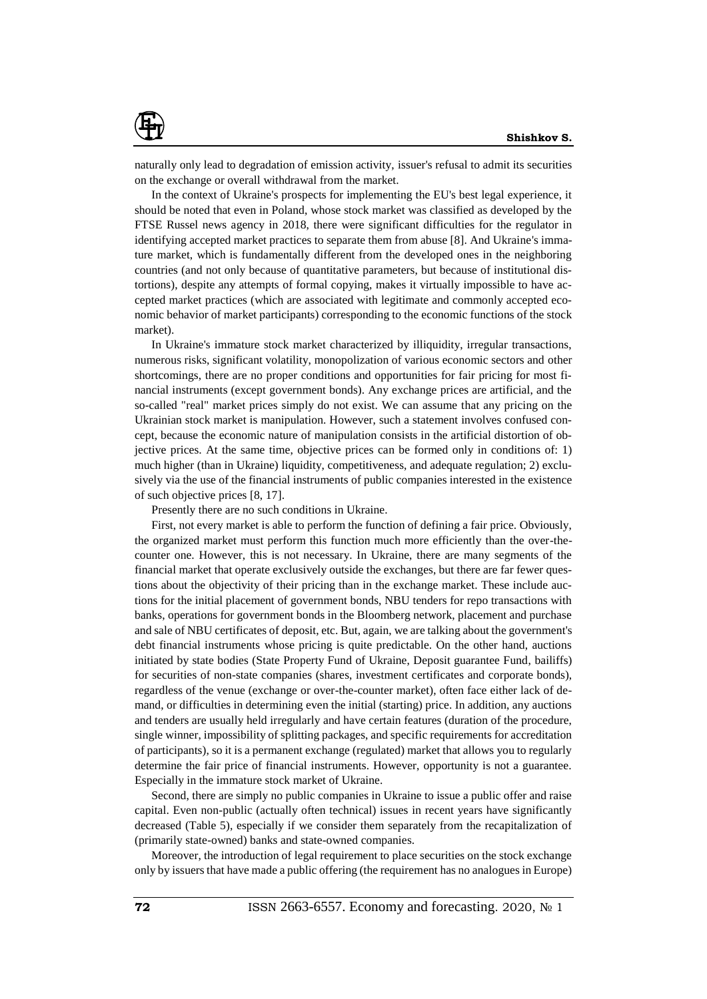

naturally only lead to degradation of emission activity, issuer's refusal to admit its securities on the exchange or overall withdrawal from the market.

In the context of Ukraine's prospects for implementing the EU's best legal experience, it should be noted that even in Poland, whose stock market was classified as developed by the FTSE Russel news agency in 2018, there were significant difficulties for the regulator in identifying accepted market practices to separate them from abuse [8]. And Ukraine's immature market, which is fundamentally different from the developed ones in the neighboring countries (and not only because of quantitative parameters, but because of institutional distortions), despite any attempts of formal copying, makes it virtually impossible to have accepted market practices (which are associated with legitimate and commonly accepted economic behavior of market participants) corresponding to the economic functions of the stock market).

In Ukraine's immature stock market characterized by illiquidity, irregular transactions, numerous risks, significant volatility, monopolization of various economic sectors and other shortcomings, there are no proper conditions and opportunities for fair pricing for most financial instruments (except government bonds). Any exchange prices are artificial, and the so-called "real" market prices simply do not exist. We can assume that any pricing on the Ukrainian stock market is manipulation. However, such a statement involves confused concept, because the economic nature of manipulation consists in the artificial distortion of objective prices. At the same time, objective prices can be formed only in conditions of: 1) much higher (than in Ukraine) liquidity, competitiveness, and adequate regulation; 2) exclusively via the use of the financial instruments of public companies interested in the existence of such objective prices [8, 17].

Presently there are no such conditions in Ukraine.

First, not every market is able to perform the function of defining a fair price. Obviously, the organized market must perform this function much more efficiently than the over-thecounter one. However, this is not necessary. In Ukraine, there are many segments of the financial market that operate exclusively outside the exchanges, but there are far fewer questions about the objectivity of their pricing than in the exchange market. These include auctions for the initial placement of government bonds, NBU tenders for repo transactions with banks, operations for government bonds in the Bloomberg network, placement and purchase and sale of NBU certificates of deposit, etc. But, again, we are talking about the government's debt financial instruments whose pricing is quite predictable. On the other hand, auctions initiated by state bodies (State Property Fund of Ukraine, Deposit guarantee Fund, bailiffs) for securities of non-state companies (shares, investment certificates and corporate bonds), regardless of the venue (exchange or over-the-counter market), often face either lack of demand, or difficulties in determining even the initial (starting) price. In addition, any auctions and tenders are usually held irregularly and have certain features (duration of the procedure, single winner, impossibility of splitting packages, and specific requirements for accreditation of participants), so it is a permanent exchange (regulated) market that allows you to regularly determine the fair price of financial instruments. However, opportunity is not a guarantee. Especially in the immature stock market of Ukraine.

Second, there are simply no public companies in Ukraine to issue a public offer and raise capital. Even non-public (actually often technical) issues in recent years have significantly decreased (Table 5), especially if we consider them separately from the recapitalization of (primarily state-owned) banks and state-owned companies.

Moreover, the introduction of legal requirement to place securities on the stock exchange only by issuers that have made a public offering (the requirement has no analogues in Europe)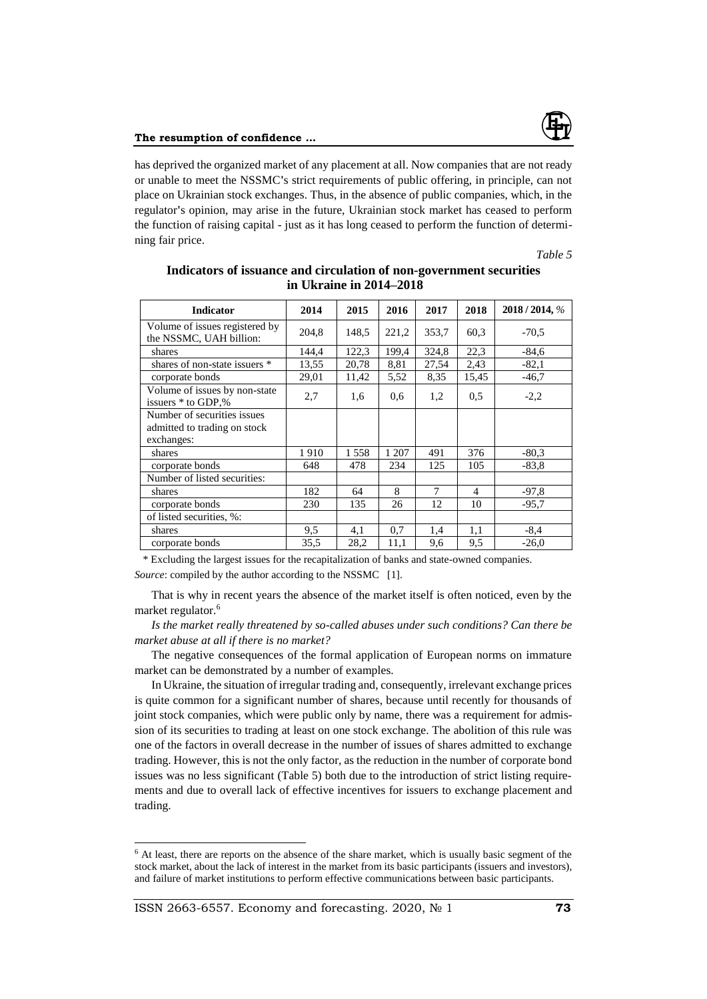

has deprived the organized market of any placement at all. Now companies that are not ready or unable to meet the NSSMC**'**s strict requirements of public offering, in principle, can not place on Ukrainian stock exchanges. Thus, in the absence of public companies, which, in the regulator**'**s opinion, may arise in the future, Ukrainian stock market has ceased to perform the function of raising capital - just as it has long ceased to perform the function of determining fair price.

*Table 5*

| <b>Indicator</b>                                                          | 2014  | 2015  | 2016  | 2017  | 2018                     | 2018/2014, % |
|---------------------------------------------------------------------------|-------|-------|-------|-------|--------------------------|--------------|
| Volume of issues registered by<br>the NSSMC, UAH billion:                 | 204,8 | 148,5 | 221,2 | 353,7 | 60.3                     | $-70.5$      |
| shares                                                                    | 144.4 | 122,3 | 199.4 | 324.8 | 22,3                     | $-84.6$      |
| shares of non-state issuers *                                             | 13,55 | 20,78 | 8,81  | 27,54 | 2,43                     | $-82,1$      |
| corporate bonds                                                           | 29,01 | 11,42 | 5,52  | 8,35  | 15,45                    | $-46,7$      |
| Volume of issues by non-state<br>issuers * to GDP,%                       | 2,7   | 1,6   | 0,6   | 1,2   | 0.5                      | $-2,2$       |
| Number of securities issues<br>admitted to trading on stock<br>exchanges: |       |       |       |       |                          |              |
| shares                                                                    | 1910  | 1558  | 1 207 | 491   | 376                      | $-80,3$      |
| corporate bonds                                                           | 648   | 478   | 234   | 125   | 105                      | $-83.8$      |
| Number of listed securities:                                              |       |       |       |       |                          |              |
| shares                                                                    | 182   | 64    | 8     | 7     | $\overline{\mathcal{A}}$ | $-97.8$      |
| corporate bonds                                                           | 230   | 135   | 26    | 12    | 10                       | $-95.7$      |
| of listed securities, %:                                                  |       |       |       |       |                          |              |
| shares                                                                    | 9,5   | 4,1   | 0,7   | 1,4   | 1,1                      | $-8,4$       |
| corporate bonds                                                           | 35,5  | 28,2  | 11,1  | 9,6   | 9,5                      | $-26,0$      |

# **Indicators of issuance and circulation of non-government securities in Ukraine in 2014–2018**

\* Excluding the largest issues for the recapitalization of banks and state-owned companies. *Source*: compiled by the author according to the NSSMC [1].

That is why in recent years the absence of the market itself is often noticed, even by the market regulator.<sup>6</sup>

*Is the market really threatened by so-called abuses under such conditions? Can there be market abuse at all if there is no market?*

The negative consequences of the formal application of European norms on immature market can be demonstrated by a number of examples.

In Ukraine, the situation of irregular trading and, consequently, irrelevant exchange prices is quite common for a significant number of shares, because until recently for thousands of joint stock companies, which were public only by name, there was a requirement for admission of its securities to trading at least on one stock exchange. The abolition of this rule was one of the factors in overall decrease in the number of issues of shares admitted to exchange trading. However, this is not the only factor, as the reduction in the number of corporate bond issues was no less significant (Table 5) both due to the introduction of strict listing requirements and due to overall lack of effective incentives for issuers to exchange placement and trading.

 $\overline{a}$ 

<sup>&</sup>lt;sup>6</sup> At least, there are reports on the absence of the share market, which is usually basic segment of the stock market, about the lack of interest in the market from its basic participants (issuers and investors), and failure of market institutions to perform effective communications between basic participants.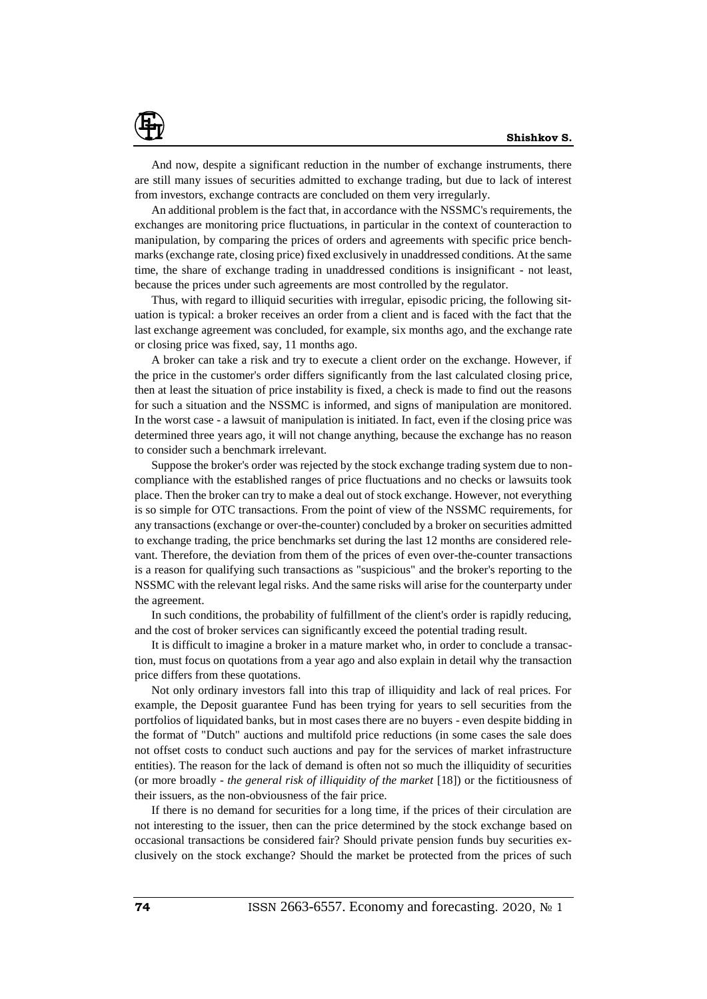

And now, despite a significant reduction in the number of exchange instruments, there are still many issues of securities admitted to exchange trading, but due to lack of interest from investors, exchange contracts are concluded on them very irregularly.

An additional problem is the fact that, in accordance with the NSSMC's requirements, the exchanges are monitoring price fluctuations, in particular in the context of counteraction to manipulation, by comparing the prices of orders and agreements with specific price benchmarks (exchange rate, closing price) fixed exclusively in unaddressed conditions. At the same time, the share of exchange trading in unaddressed conditions is insignificant - not least, because the prices under such agreements are most controlled by the regulator.

Thus, with regard to illiquid securities with irregular, episodic pricing, the following situation is typical: a broker receives an order from a client and is faced with the fact that the last exchange agreement was concluded, for example, six months ago, and the exchange rate or closing price was fixed, say, 11 months ago.

A broker can take a risk and try to execute a client order on the exchange. However, if the price in the customer's order differs significantly from the last calculated closing price, then at least the situation of price instability is fixed, a check is made to find out the reasons for such a situation and the NSSMC is informed, and signs of manipulation are monitored. In the worst case - a lawsuit of manipulation is initiated. In fact, even if the closing price was determined three years ago, it will not change anything, because the exchange has no reason to consider such a benchmark irrelevant.

Suppose the broker's order was rejected by the stock exchange trading system due to noncompliance with the established ranges of price fluctuations and no checks or lawsuits took place. Then the broker can try to make a deal out of stock exchange. However, not everything is so simple for OTC transactions. From the point of view of the NSSMC requirements, for any transactions (exchange or over-the-counter) concluded by a broker on securities admitted to exchange trading, the price benchmarks set during the last 12 months are considered relevant. Therefore, the deviation from them of the prices of even over-the-counter transactions is a reason for qualifying such transactions as "suspicious" and the broker's reporting to the NSSMC with the relevant legal risks. And the same risks will arise for the counterparty under the agreement.

In such conditions, the probability of fulfillment of the client's order is rapidly reducing, and the cost of broker services can significantly exceed the potential trading result.

It is difficult to imagine a broker in a mature market who, in order to conclude a transaction, must focus on quotations from a year ago and also explain in detail why the transaction price differs from these quotations.

Not only ordinary investors fall into this trap of illiquidity and lack of real prices. For example, the Deposit guarantee Fund has been trying for years to sell securities from the portfolios of liquidated banks, but in most cases there are no buyers - even despite bidding in the format of "Dutch" auctions and multifold price reductions (in some cases the sale does not offset costs to conduct such auctions and pay for the services of market infrastructure entities). The reason for the lack of demand is often not so much the illiquidity of securities (or more broadly - *the general risk of illiquidity of the market* [18]) or the fictitiousness of their issuers, as the non-obviousness of the fair price.

If there is no demand for securities for a long time, if the prices of their circulation are not interesting to the issuer, then can the price determined by the stock exchange based on occasional transactions be considered fair? Should private pension funds buy securities exclusively on the stock exchange? Should the market be protected from the prices of such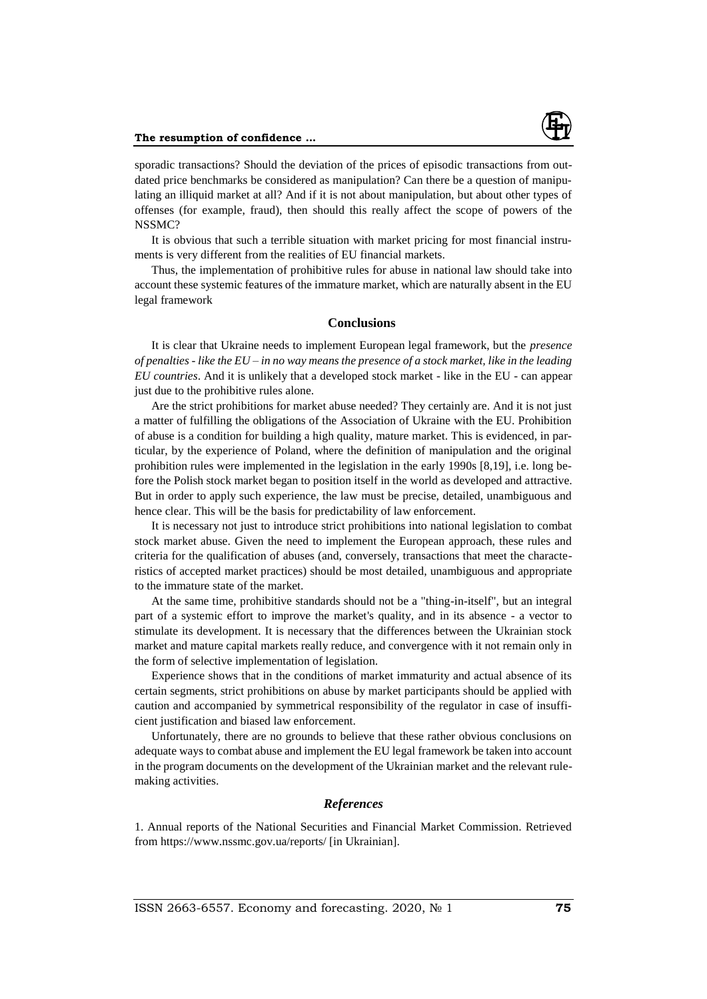

sporadic transactions? Should the deviation of the prices of episodic transactions from outdated price benchmarks be considered as manipulation? Can there be a question of manipulating an illiquid market at all? And if it is not about manipulation, but about other types of offenses (for example, fraud), then should this really affect the scope of powers of the NSSMC?

It is obvious that such a terrible situation with market pricing for most financial instruments is very different from the realities of EU financial markets.

Thus, the implementation of prohibitive rules for abuse in national law should take into account these systemic features of the immature market, which are naturally absent in the EU legal framework

### **Conclusions**

It is clear that Ukraine needs to implement European legal framework, but the *presence of penalties - like the EU – in no way means the presence of a stock market, like in the leading EU countries*. And it is unlikely that a developed stock market - like in the EU - can appear just due to the prohibitive rules alone.

Are the strict prohibitions for market abuse needed? They certainly are. And it is not just a matter of fulfilling the obligations of the Association of Ukraine with the EU. Prohibition of abuse is a condition for building a high quality, mature market. This is evidenced, in particular, by the experience of Poland, where the definition of manipulation and the original prohibition rules were implemented in the legislation in the early 1990s [8,19], i.e. long before the Polish stock market began to position itself in the world as developed and attractive. But in order to apply such experience, the law must be precise, detailed, unambiguous and hence clear. This will be the basis for predictability of law enforcement.

It is necessary not just to introduce strict prohibitions into national legislation to combat stock market abuse. Given the need to implement the European approach, these rules and criteria for the qualification of abuses (and, conversely, transactions that meet the characteristics of accepted market practices) should be most detailed, unambiguous and appropriate to the immature state of the market.

At the same time, prohibitive standards should not be a "thing-in-itself", but an integral part of a systemic effort to improve the market's quality, and in its absence - a vector to stimulate its development. It is necessary that the differences between the Ukrainian stock market and mature capital markets really reduce, and convergence with it not remain only in the form of selective implementation of legislation.

Experience shows that in the conditions of market immaturity and actual absence of its certain segments, strict prohibitions on abuse by market participants should be applied with caution and accompanied by symmetrical responsibility of the regulator in case of insufficient justification and biased law enforcement.

Unfortunately, there are no grounds to believe that these rather obvious conclusions on adequate ways to combat abuse and implement the EU legal framework be taken into account in the program documents on the development of the Ukrainian market and the relevant rulemaking activities.

## *References*

1. Annual reports of the National Securities and Financial Market Commission. Retrieved from https://www.nssmc.gov.ua/reports/ [in Ukrainian].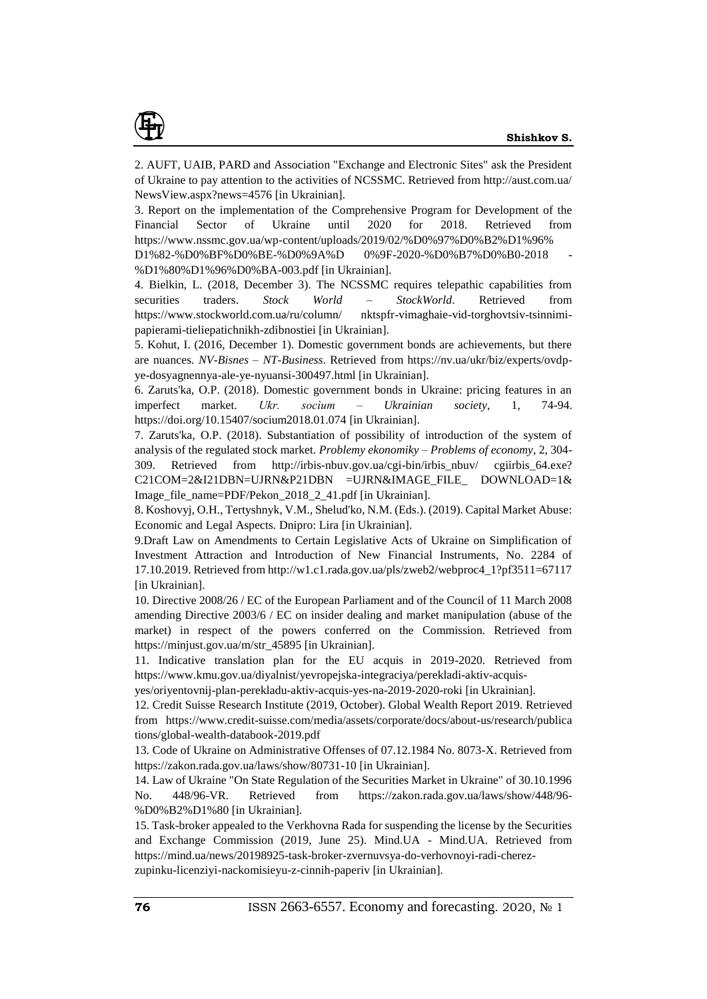

2. AUFT, UAIB, PARD and Association "Exchange and Electronic Sites" ask the President of Ukraine to pay attention to the activities of NCSSMC. Retrieved from http://aust.com.ua/ NewsView.aspx?news=4576 [in Ukrainian].

3. Report on the implementation of the Comprehensive Program for Development of the Financial Sector of Ukraine until 2020 for 2018. Retrieved from [https://www.nssmc.gov.ua/wp-content/uploads/2019/02/%D0%97%D0%B2%D1%96%](https://www.nssmc.gov.ua/wp-content/uploads/2019/02/%D0%97%D0%B2%D1%96%25)

D1%82-%D0%BF%D0%BE-%D0%9A%D 0%9F-2020-%D0%B7%D0%B0-2018 - %D1%80%D1%96%D0%BA-003.pdf [in Ukrainian].

4. Bielkin, L. (2018, December 3). The NCSSMC requires telepathic capabilities from securities traders. *Stock World – StockWorld*. Retrieved from https://www.stockworld.com.ua/ru/column/ nktspfr-vimaghaie-vid-torghovtsiv-tsinnimipapierami-tieliepatichnikh-zdibnostiei [in Ukrainian].

5. Kohut, I. (2016, December 1). Domestic government bonds are achievements, but there are nuances. *NV-Bisnes – NT-Business*. Retrieved from https://nv.ua/ukr/biz/experts/ovdpye-dosyagnennya-ale-ye-nyuansi-300497.html [in Ukrainian].

6. Zaruts'ka, O.P. (2018). Domestic government bonds in Ukraine: pricing features in an imperfect market. *Ukr. socìum – Ukrainian society*, 1, 74-94. https://doi.org/10.15407/socium2018.01.074 [in Ukrainian].

7. Zaruts'ka, O.P. (2018). Substantiation of possibility of introduction of the system of analysis of the regulated stock market. *Problemy ekonomiky – Problems of economy*, 2, 304- 309. Retrieved from [http://irbis-nbuv.gov.ua/cgi-bin/irbis\\_nbuv/](http://irbis-nbuv.gov.ua/cgi-bin/irbis_nbuv/) cgiirbis\_64.exe? C21COM=2&I21DBN=UJRN&P21DBN =UJRN&IMAGE\_FILE\_ DOWNLOAD=1& Image\_file\_name=PDF/Pekon\_2018\_2\_41.pdf [in Ukrainian].

8. Koshovyj, O.H., Tertyshnyk, V.M., Shelud'ko, N.M. (Eds.). (2019). Capital Market Abuse: Economic and Legal Aspects. Dnipro: Lira [in Ukrainian].

9.Draft Law on Amendments to Certain Legislative Acts of Ukraine on Simplification of Investment Attraction and Introduction of New Financial Instruments, No. 2284 of 17.10.2019. Retrieved from http://w1.c1.rada.gov.ua/pls/zweb2/webproc4\_1?pf3511=67117 [in Ukrainian].

10. Directive 2008/26 / EC of the European Parliament and of the Council of 11 March 2008 amending Directive 2003/6 / EC on insider dealing and market manipulation (abuse of the market) in respect of the powers conferred on the Commission. Retrieved from https://minjust.gov.ua/m/str\_45895 [in Ukrainian].

11. Indicative translation plan for the EU acquis in 2019-2020. Retrieved from https://www.kmu.gov.ua/diyalnist/yevropejska-integraciya/perekladi-aktiv-acquis-

yes/oriyentovnij-plan-perekladu-aktiv-acquis-yes-na-2019-2020-roki [in Ukrainian].

12. Credit Suisse Research Institute (2019, October). Global Wealth Report 2019. Retrieved from [https://www.credit-suisse.com/media/assets/corporate/docs/about-us/research/p](https://www.credit-suisse.com/media/assets/corporate/docs/about-us/research/)ublica tions/global-wealth-databook-2019.pdf

13. Code of Ukraine on Administrative Offenses of 07.12.1984 No. 8073-X. Retrieved from https://zakon.rada.gov.ua/laws/show/80731-10 [in Ukrainian].

14. Law of Ukraine "On State Regulation of the Securities Market in Ukraine" of 30.10.1996 No. 448/96-VR. Retrieved from https://zakon.rada.gov.ua/laws/show/448/96- %D0%B2%D1%80 [in Ukrainian].

15. Task-broker appealed to the Verkhovna Rada for suspending the license by the Securities and Exchange Commission (2019, June 25). Mind.UA - Mind.UA. Retrieved from https://mind.ua/news/20198925-task-broker-zvernuvsya-do-verhovnoyi-radi-cherezzupinku-licenziyi-nackomisieyu-z-cinnih-paperiv [in Ukrainian].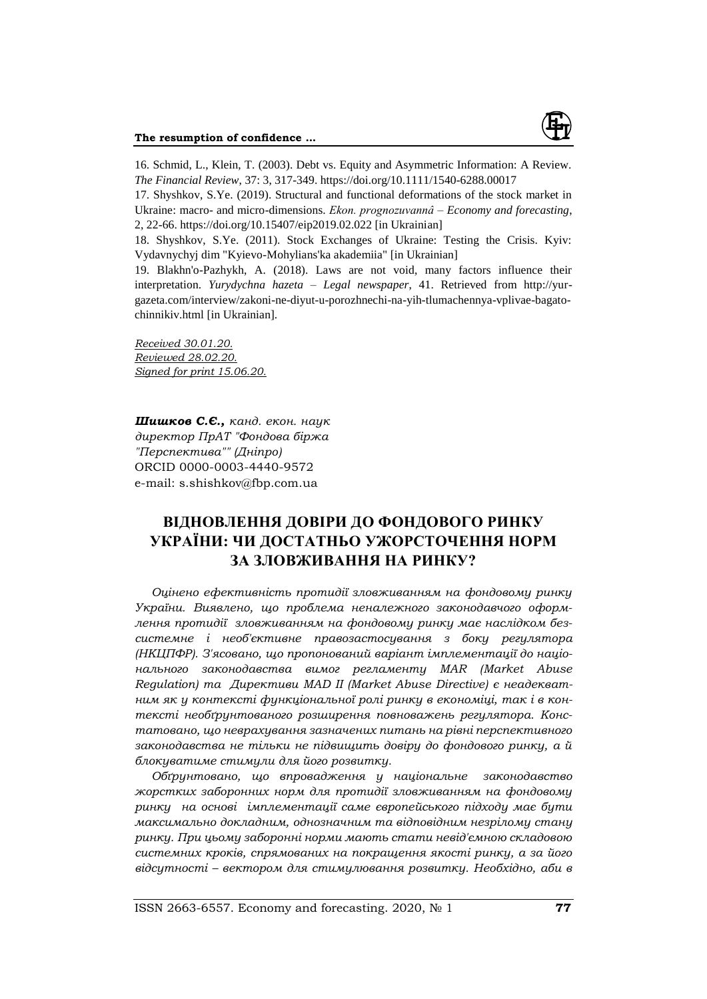

16. Schmid, L., Klein, T. (2003). Debt vs. Equity and Asymmetric Information: A Review. *The Financial Review*, 37: 3, 317-349. https://doi.org/10.1111/1540-6288.00017

17. Shyshkov, S.Ye. (2019). Structural and functional deformations of the stock market in Ukraine: macro- and micro-dimensions. *Ekon. prognozuvannâ – Economy and forecasting*, 2, 22-66. https://doi.org/10.15407/eip2019.02.022 [in Ukrainian]

18. Shyshkov, S.Ye. (2011). Stock Exchanges of Ukraine: Testing the Crisis. Kyiv: Vydavnychyj dim "Kyievo-Mohylians'ka akademiia" [in Ukrainian]

19. Blakhn'o-Pazhykh, A. (2018). Laws are not void, many factors influence their interpretation. *Yurydychna hazeta – Legal newspaper*, 41. Retrieved from http://yurgazeta.com/interview/zakoni-ne-diyut-u-porozhnechi-na-yih-tlumachennya-vplivae-bagatochinnikiv.html [in Ukrainian].

*Received 30.01.20. Reviewed 28.02.20. Signed for print 15.06.20.*

*Шишков С.Є., канд. екон. наук директор ПрАТ "Фондова біржа "Перспектива"" (Дніпро)* ORCID 0000-0003-4440-9572 e-mail: [s.shishkov@fbp.com.ua](mailto:s.shishkov@fbp.com.ua)

# **ВІДНОВЛЕННЯ ДОВІРИ ДО ФОНДОВОГО РИНКУ УКРАЇНИ: ЧИ ДОСТАТНЬО УЖОРСТОЧЕННЯ НОРМ ЗА ЗЛОВЖИВАННЯ НА РИНКУ?**

*Оцінено ефективність протидії зловживанням на фондовому ринку України. Виявлено, що проблема неналежного законодавчого оформлення протидії зловживанням на фондовому ринку має наслідком безсистемне і необ'єктивне правозастосування з боку регулятора (НКЦПФР). З'ясовано, що пропонований варіант імплементації до національного законодавства вимог регламенту MAR (Market Abuse Regulation) та Директиви MAD ІІ (Market Abuse Directive) є неадекватним як у контексті функціональної ролі ринку в економіці, так і в контексті необґрунтованого розширення повноважень регулятора. Констатовано, що неврахування зазначених питань на рівні перспективного законодавства не тільки не підвищить довіру до фондового ринку, а й блокуватиме стимули для його розвитку.*

*Обґрунтовано, що впровадження у національне законодавство жорстких заборонних норм для протидії зловживанням на фондовому ринку на основі імплементації саме європейського підходу має бути максимально докладним, однозначним та відповідним незрілому стану ринку. При цьому заборонні норми мають стати невід'ємною складовою системних кроків, спрямованих на покращення якості ринку, а за його відсутності – вектором для стимулювання розвитку. Необхідно, аби в*